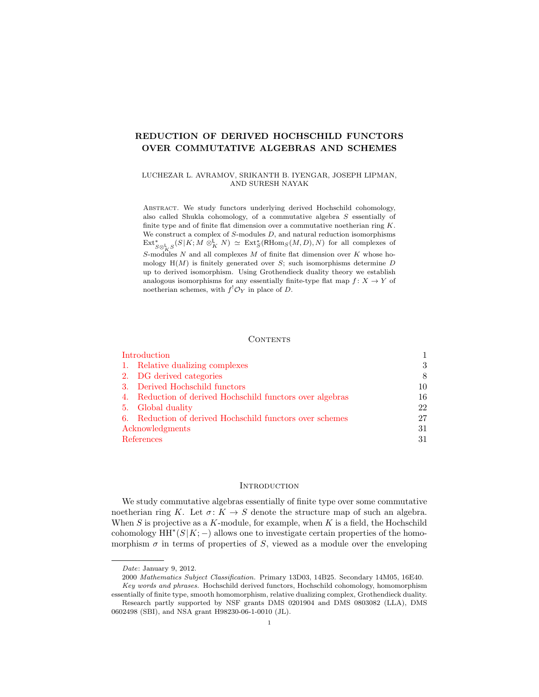# REDUCTION OF DERIVED HOCHSCHILD FUNCTORS OVER COMMUTATIVE ALGEBRAS AND SCHEMES

### LUCHEZAR L. AVRAMOV, SRIKANTH B. IYENGAR, JOSEPH LIPMAN, AND SURESH NAYAK

Abstract. We study functors underlying derived Hochschild cohomology, also called Shukla cohomology, of a commutative algebra S essentially of finite type and of finite flat dimension over a commutative noetherian ring  $K$ . We construct a complex of  $S$ -modules  $D$ , and natural reduction isomorphisms  $\text{Ext}^*_{S\otimes^{\mathbf{L}}_KS}(S|K;M\otimes^{\mathbf{L}}_K N) \simeq \text{Ext}^*_S(\text{RHom}_S(M,D),N)$  for all complexes of S-modules N and all complexes M of finite flat dimension over  $K$  whose homology  $H(M)$  is finitely generated over S; such isomorphisms determine D up to derived isomorphism. Using Grothendieck duality theory we establish analogous isomorphisms for any essentially finite-type flat map  $f: X \to Y$  of noetherian schemes, with  $f^{!}\mathcal{O}_Y$  in place of D.

#### **CONTENTS**

| Introduction                                                 |    |
|--------------------------------------------------------------|----|
| 1. Relative dualizing complexes                              | 3  |
| 2. DG derived categories                                     | 8  |
| Derived Hochschild functors<br><sup>3.</sup>                 | 10 |
| Reduction of derived Hochschild functors over algebras<br>4. | 16 |
| Global duality<br>5.                                         | 22 |
| 6. Reduction of derived Hochschild functors over schemes     | 27 |
| Acknowledgments                                              | 31 |
| References                                                   | 31 |

#### **INTRODUCTION**

<span id="page-0-0"></span>We study commutative algebras essentially of finite type over some commutative noetherian ring K. Let  $\sigma: K \to S$  denote the structure map of such an algebra. When S is projective as a K-module, for example, when K is a field, the Hochschild cohomology  $HH^*(S|K; -)$  allows one to investigate certain properties of the homomorphism  $\sigma$  in terms of properties of S, viewed as a module over the enveloping

Date: January 9, 2012.

<sup>2000</sup> Mathematics Subject Classification. Primary 13D03, 14B25. Secondary 14M05, 16E40. Key words and phrases. Hochschild derived functors, Hochschild cohomology, homomorphism essentially of finite type, smooth homomorphism, relative dualizing complex, Grothendieck duality.

Research partly supported by NSF grants DMS 0201904 and DMS 0803082 (LLA), DMS 0602498 (SBI), and NSA grant H98230-06-1-0010 (JL).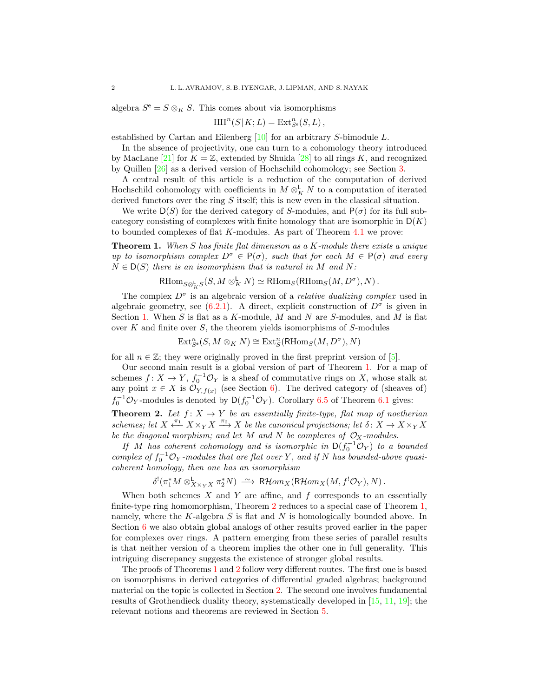algebra  $S^{\mathsf{e}} = S \otimes_K S$ . This comes about via isomorphisms

$$
\operatorname{HH}^n(S|K;L) = \operatorname{Ext}^n_{S^e}(S,L),
$$

established by Cartan and Eilenberg [\[10\]](#page-30-2) for an arbitrary S-bimodule L.

In the absence of projectivity, one can turn to a cohomology theory introduced by MacLane [\[21\]](#page-31-0) for  $K = \mathbb{Z}$ , extended by Shukla [\[28\]](#page-31-1) to all rings K, and recognized by Quillen [\[26\]](#page-31-2) as a derived version of Hochschild cohomology; see Section [3.](#page-9-0)

A central result of this article is a reduction of the computation of derived Hochschild cohomology with coefficients in  $M \otimes_K^{\mathsf{L}} N$  to a computation of iterated derived functors over the ring  $S$  itself; this is new even in the classical situation.

We write  $D(S)$  for the derived category of S-modules, and  $P(\sigma)$  for its full subcategory consisting of complexes with finite homology that are isomorphic in  $D(K)$ to bounded complexes of flat K-modules. As part of Theorem [4.1](#page-15-1) we prove:

<span id="page-1-0"></span>**Theorem 1.** When S has finite flat dimension as a K-module there exists a unique up to isomorphism complex  $D^{\sigma} \in P(\sigma)$ , such that for each  $M \in P(\sigma)$  and every  $N \in D(S)$  there is an isomorphism that is natural in M and N:

$$
\text{RHom}_{S\otimes^{\mathbf{L}}_KS}(S, M\otimes^{\mathbf{L}}_K N)\simeq \text{RHom}_S(\text{RHom}_S(M, D^{\sigma}), N)\,.
$$

The complex  $D^{\sigma}$  is an algebraic version of a *relative dualizing complex* used in algebraic geometry, see  $(6.2.1)$ . A direct, explicit construction of  $D^{\sigma}$  is given in Section [1.](#page-2-0) When S is flat as a K-module, M and N are S-modules, and M is flat over  $K$  and finite over  $S$ , the theorem yields isomorphisms of  $S$ -modules

$$
\operatorname{Ext}^n_{S^e}(S,M\otimes_K N)\cong \operatorname{Ext}^n_S({\mathsf{RHom}}_S(M,D^\sigma),N)
$$

for all  $n \in \mathbb{Z}$ ; they were originally proved in the first preprint version of [\[5\]](#page-30-3).

Our second main result is a global version of part of Theorem [1.](#page-1-0) For a map of schemes  $f: X \to Y$ ,  $f_0^{-1} \mathcal{O}_Y$  is a sheaf of commutative rings on X, whose stalk at any point  $x \in X$  is  $\mathcal{O}_{Y, f(x)}$  (see Section [6\)](#page-26-0). The derived category of (sheaves of)  $f_0^{-1} \mathcal{O}_Y$ -modules is denoted by  $\mathsf{D}(f_0^{-1} \mathcal{O}_Y)$ . Corollary [6.5](#page-28-0) of Theorem [6.1](#page-27-1) gives:

<span id="page-1-1"></span>**Theorem 2.** Let  $f: X \to Y$  be an essentially finite-type, flat map of noetherian schemes; let  $X \xleftarrow{\pi_1} X \times_Y X \xrightarrow{\pi_2} X$  be the canonical projections; let  $\delta: X \to X \times_Y X$ be the diagonal morphism; and let M and N be complexes of  $\mathcal{O}_X$ -modules.

If M has coherent cohomology and is isomorphic in  $D(f_0^{-1}\mathcal{O}_Y)$  to a bounded complex of  $f_0^{-1} \mathcal{O}_Y$ -modules that are flat over Y, and if N has bounded-above quasicoherent homology, then one has an isomorphism

$$
\delta^!(\pi_1^*M \otimes^{\mathbf{L}}_{X \times_Y X} \pi_2^*N) \xrightarrow{\sim} \mathsf{R}\mathcal{H}om_X(\mathsf{R}\mathcal{H}om_X(M, f^!\mathcal{O}_Y), N).
$$

When both schemes  $X$  and  $Y$  are affine, and  $f$  corresponds to an essentially finite-type ring homomorphism, Theorem [2](#page-1-1) reduces to a special case of Theorem [1,](#page-1-0) namely, where the  $K$ -algebra  $S$  is flat and  $N$  is homologically bounded above. In Section [6](#page-26-0) we also obtain global analogs of other results proved earlier in the paper for complexes over rings. A pattern emerging from these series of parallel results is that neither version of a theorem implies the other one in full generality. This intriguing discrepancy suggests the existence of stronger global results.

The proofs of Theorems [1](#page-1-0) and [2](#page-1-1) follow very different routes. The first one is based on isomorphisms in derived categories of differential graded algebras; background material on the topic is collected in Section [2.](#page-7-0) The second one involves fundamental results of Grothendieck duality theory, systematically developed in [\[15,](#page-30-4) [11,](#page-30-5) [19\]](#page-31-3); the relevant notions and theorems are reviewed in Section [5.](#page-21-0)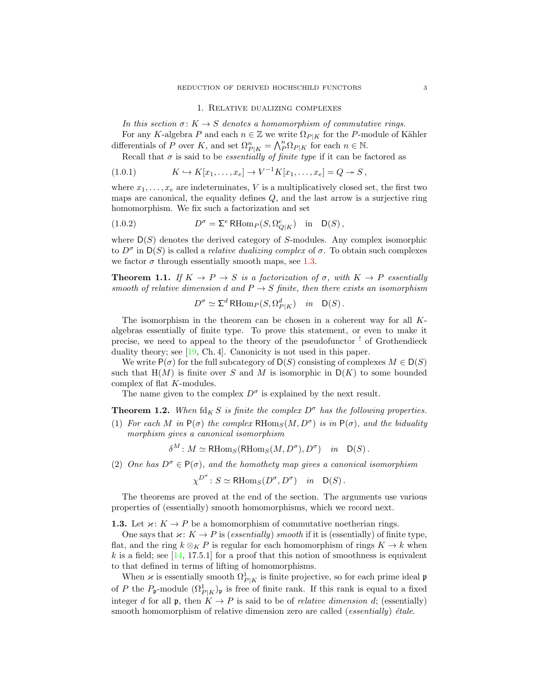#### 1. Relative dualizing complexes

<span id="page-2-0"></span>In this section  $\sigma: K \to S$  denotes a homomorphism of commutative rings.

For any K-algebra P and each  $n \in \mathbb{Z}$  we write  $\Omega_{P|K}$  for the P-module of Kähler differentials of P over K, and set  $\Omega_{P|K}^n = \bigwedge_{P}^n \Omega_{P|K}$  for each  $n \in \mathbb{N}$ .

<span id="page-2-3"></span>Recall that  $\sigma$  is said to be *essentially of finite type* if it can be factored as

(1.0.1) 
$$
K \hookrightarrow K[x_1, ..., x_e] \to V^{-1}K[x_1, ..., x_e] = Q \to S,
$$

where  $x_1, \ldots, x_e$  are indeterminates, V is a multiplicatively closed set, the first two maps are canonical, the equality defines  $Q$ , and the last arrow is a surjective ring homomorphism. We fix such a factorization and set

(1.0.2) 
$$
D^{\sigma} = \Sigma^{e} \operatorname{RHom}_{P}(S, \Omega_{Q|K}^{e}) \quad \text{in} \quad \mathsf{D}(S),
$$

where  $D(S)$  denotes the derived category of S-modules. Any complex isomorphic to  $D^{\sigma}$  in  $D(S)$  is called a *relative dualizing complex* of  $\sigma$ . To obtain such complexes we factor  $\sigma$  through essentially smooth maps, see [1.3.](#page-2-1)

<span id="page-2-2"></span>**Theorem 1.1.** If  $K \to P \to S$  is a factorization of  $\sigma$ , with  $K \to P$  essentially smooth of relative dimension d and  $P \rightarrow S$  finite, then there exists an isomorphism

<span id="page-2-5"></span>
$$
D^{\sigma} \simeq \Sigma^{d} \operatorname{RHom}_{P}(S, \Omega^{d}_{P|K}) \quad in \quad \mathsf{D}(S).
$$

The isomorphism in the theorem can be chosen in a coherent way for all Kalgebras essentially of finite type. To prove this statement, or even to make it precise, we need to appeal to the theory of the pseudofunctor ! of Grothendieck duality theory; see [\[19,](#page-31-3) Ch. 4]. Canonicity is not used in this paper.

We write  $P(\sigma)$  for the full subcategory of  $D(S)$  consisting of complexes  $M \in D(S)$ such that  $H(M)$  is finite over S and M is isomorphic in  $D(K)$  to some bounded complex of flat K-modules.

The name given to the complex  $D^{\sigma}$  is explained by the next result.

<span id="page-2-4"></span>**Theorem 1.2.** When  $\text{fd}_K S$  is finite the complex  $D^{\sigma}$  has the following properties.

(1) For each M in  $P(\sigma)$  the complex  $RHom_S(M, D^{\sigma})$  is in  $P(\sigma)$ , and the biduality morphism gives a canonical isomorphism

 $\delta^M$ :  $M \simeq \text{RHom}_S(\text{RHom}_S(M, D^{\sigma}), D^{\sigma})$  in  $D(S)$ .

(2) One has  $D^{\sigma} \in P(\sigma)$ , and the homothety map gives a canonical isomorphism

$$
\chi^{D^{\sigma}} : S \simeq \text{RHom}_S(D^{\sigma}, D^{\sigma}) \quad in \quad \mathsf{D}(S) \, .
$$

The theorems are proved at the end of the section. The arguments use various properties of (essentially) smooth homomorphisms, which we record next.

<span id="page-2-1"></span>**1.3.** Let  $\varkappa: K \to P$  be a homomorphism of commutative noetherian rings.

One says that  $x: K \to P$  is (essentially) smooth if it is (essentially) of finite type, flat, and the ring  $k \otimes_K P$  is regular for each homomorphism of rings  $K \to k$  when k is a field; see  $[14, 17.5.1]$  for a proof that this notion of smoothness is equivalent to that defined in terms of lifting of homomorphisms.

When  $\varkappa$  is essentially smooth  $\Omega^1_{P|K}$  is finite projective, so for each prime ideal p of P the  $P_{\mathfrak{p}}$ -module  $(\Omega^1_{P|K})_{\mathfrak{p}}$  is free of finite rank. If this rank is equal to a fixed integer d for all **p**, then  $K \to P$  is said to be of *relative dimension d*; (essentially) smooth homomorphism of relative dimension zero are called (*essentially*)  $\acute{e}tale$ .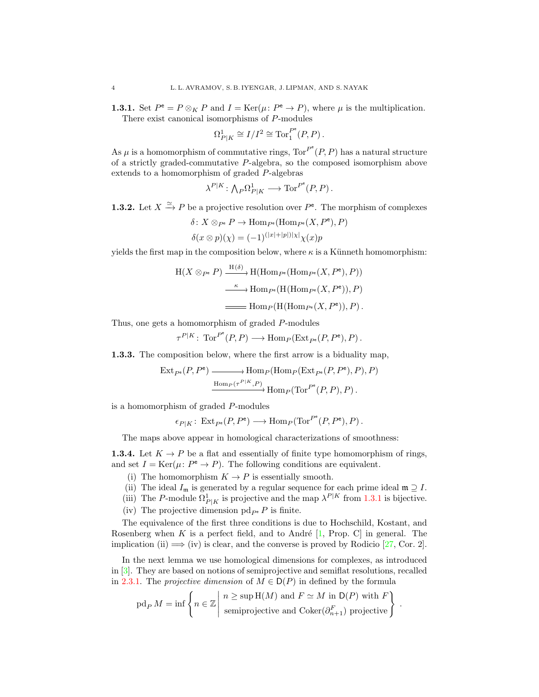<span id="page-3-0"></span>**1.3.1.** Set  $P^e = P \otimes_K P$  and  $I = \text{Ker}(\mu : P^e \to P)$ , where  $\mu$  is the multiplication. There exist canonical isomorphisms of P-modules

$$
\Omega^1_{P|K}\cong I/I^2\cong \mathrm{Tor}_1^{P^{\mathbf{e}}}(P,P)\,.
$$

As  $\mu$  is a homomorphism of commutative rings,  $\text{Tor}^{P^e}(P, P)$  has a natural structure of a strictly graded-commutative P-algebra, so the composed isomorphism above extends to a homomorphism of graded P-algebras

$$
\lambda^{P|K} \colon {\textstyle\bigwedge}_P\Omega^1_{P|K} \longrightarrow \text{Tor}^{P^e}(P,P)\,.
$$

- <span id="page-3-2"></span>**1.3.2.** Let  $X \xrightarrow{\simeq} P$  be a projective resolution over  $P^e$ . The morphism of complexes
	- $\delta: X \otimes_{P^e} P \to \text{Hom}_{P^e}(\text{Hom}_{P^e}(X, P^e), P)$

$$
\delta(x \otimes p)(\chi) = (-1)^{(|x|+|p|)|\chi|} \chi(x)p
$$

yields the first map in the composition below, where  $\kappa$  is a Künneth homomorphism:

$$
H(X \otimes_{P^e} P) \xrightarrow{H(\delta)} H(\text{Hom}_{P^e}(\text{Hom}_{P^e}(X, P^e), P))
$$

$$
\xrightarrow{\kappa} \text{Hom}_{P^e}(\text{H}(\text{Hom}_{P^e}(X, P^e)), P)
$$

$$
\xrightarrow{\text{Hom}_P(\text{H}(\text{Hom}_{P^e}(X, P^e)), P)}.
$$

Thus, one gets a homomorphism of graded P-modules

$$
\tau^{P|K} \colon \operatorname{Tor}^{P^e}(P,P) \longrightarrow \operatorname{Hom}_P(\operatorname{Ext}_{P^e}(P,P^e), P) .
$$

<span id="page-3-3"></span>1.3.3. The composition below, where the first arrow is a biduality map,

$$
\operatorname{Ext}_{P^e}(P, P^e) \longrightarrow \operatorname{Hom}_P(\operatorname{Hom}_P(\operatorname{Ext}_{P^e}(P, P^e), P), P)
$$
  

$$
\xrightarrow{\operatorname{Hom}_P(\tau^{P|K}, P)} \operatorname{Hom}_P(\operatorname{Tor}^{P^e}(P, P), P).
$$

is a homomorphism of graded P-modules

$$
\epsilon_{P|K} \colon \operatorname{Ext}_{P^e}(P, P^e) \longrightarrow \operatorname{Hom}_P(\operatorname{Tor}^{P^e}(P, P^e), P).
$$

The maps above appear in homological characterizations of smoothness:

<span id="page-3-1"></span>**1.3.4.** Let  $K \to P$  be a flat and essentially of finite type homomorphism of rings, and set  $I = \text{Ker}(\mu : P^e \to P)$ . The following conditions are equivalent.

- (i) The homomorphism  $K \to P$  is essentially smooth.
- (ii) The ideal  $I_{\mathfrak{m}}$  is generated by a regular sequence for each prime ideal  $\mathfrak{m} \supseteq I$ .
- (iii) The P-module  $\Omega^1_{P|K}$  is projective and the map  $\lambda^{P|K}$  from [1.3.1](#page-3-0) is bijective.
- (iv) The projective dimension pd<sub> $P$ </sub> e is finite.

The equivalence of the first three conditions is due to Hochschild, Kostant, and Rosenberg when K is a perfect field, and to André  $[1,$  Prop. C in general. The implication (ii)  $\implies$  (iv) is clear, and the converse is proved by Rodicio [\[27,](#page-31-4) Cor. 2].

In the next lemma we use homological dimensions for complexes, as introduced in [\[3\]](#page-30-7). They are based on notions of semiprojective and semiflat resolutions, recalled in [2.3.1.](#page-8-0) The projective dimension of  $M \in D(P)$  in defined by the formula

$$
\text{pd}_P M = \inf \left\{ n \in \mathbb{Z} \middle| \begin{array}{l} n \geq \sup \text{H}(M) \text{ and } F \simeq M \text{ in } \mathsf{D}(P) \text{ with } F \\ \text{semiprojective and Coker}(\partial_{n+1}^F) \text{ projective} \end{array} \right\}.
$$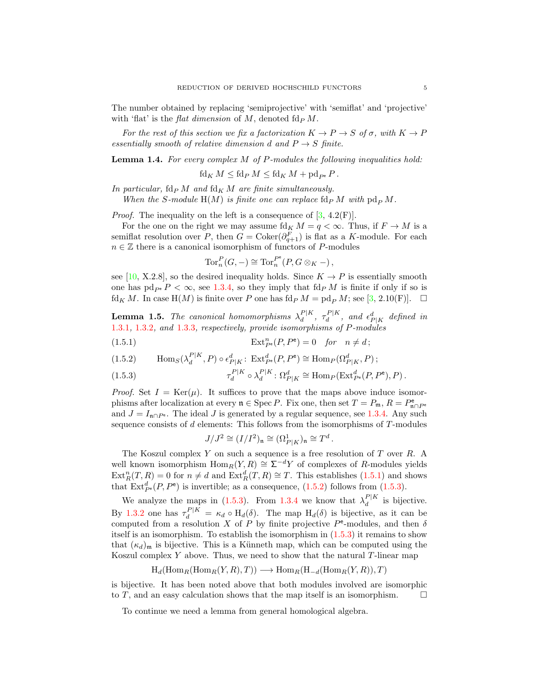The number obtained by replacing 'semiprojective' with 'semiflat' and 'projective' with 'flat' is the *flat dimension* of M, denoted  $\text{fd}_{P} M$ .

For the rest of this section we fix a factorization  $K \to P \to S$  of  $\sigma$ , with  $K \to P$ essentially smooth of relative dimension d and  $P \rightarrow S$  finite.

<span id="page-4-3"></span>Lemma 1.4. For every complex M of P-modules the following inequalities hold:

 $\operatorname{fd}_{K} M \leq \operatorname{fd}_{P} M \leq \operatorname{fd}_{K} M + \operatorname{pd}_{P^e} P$ .

In particular,  $\operatorname{fd}_{P} M$  and  $\operatorname{fd}_{K} M$  are finite simultaneously. When the S-module  $H(M)$  is finite one can replace  $\text{fd}_{P} M$  with  $\text{pd}_{P} M$ .

*Proof.* The inequality on the left is a consequence of  $[3, 4.2(F)]$ .

For the one on the right we may assume  $\text{fd}_K M = q < \infty$ . Thus, if  $F \to M$  is a semiflat resolution over P, then  $G = \text{Coker}(\partial_{q+1}^F)$  is flat as a K-module. For each  $n \in \mathbb{Z}$  there is a canonical isomorphism of functors of P-modules

$$
\operatorname{Tor}^P_n(G, -) \cong \operatorname{Tor}^{P^e}_n(P, G \otimes_K -),
$$

see [\[10,](#page-30-2) X.2.8], so the desired inequality holds. Since  $K \to P$  is essentially smooth one has  $pd_{P^e}P < \infty$ , see [1.3.4,](#page-3-1) so they imply that  $fdP M$  is finite if only if so is  $fd_K M$ . In case  $H(M)$  is finite over P one has  $fd_P M = pd_P M$ ; see [\[3,](#page-30-7) 2.10(F)].  $\Box$ 

**Lemma 1.5.** The canonical homomorphisms  $\lambda_d^{P|K}$  $\frac{P|K}{d}, \tau_d^{P|K}$  $d_d^{P|K}$ , and  $\epsilon_{P|K}^d$  defined in [1.3.1](#page-3-0), [1.3.2](#page-3-2), and [1.3.3](#page-3-3), respectively, provide isomorphisms of P-modules

<span id="page-4-0"></span>(1.5.1) 
$$
\operatorname{Ext}_{P^e}^n(P, P^e) = 0 \quad \text{for} \quad n \neq d;
$$

<span id="page-4-1"></span>(1.5.2) 
$$
\operatorname{Hom}_S(\lambda_d^{P|K}, P) \circ \epsilon_{P|K}^d \colon \operatorname{Ext}_{P^e}^d(P, P^e) \cong \operatorname{Hom}_P(\Omega_{P|K}^d, P);
$$

<span id="page-4-2"></span>(1.5.3) 
$$
\tau_d^{P|K} \circ \lambda_d^{P|K} \colon \Omega_{P|K}^d \cong \text{Hom}_P(\text{Ext}_{P^e}^d(P, P^e), P).
$$

*Proof.* Set  $I = \text{Ker}(\mu)$ . It suffices to prove that the maps above induce isomorphisms after localization at every  $\mathfrak{n} \in \text{Spec } P$ . Fix one, then set  $T = P_{\mathfrak{m}}, R = P_{\mathfrak{n} \cap P_{\mathfrak{n}}}^{\mathfrak{e}}$ and  $J = I_{n \cap P^e}$ . The ideal J is generated by a regular sequence, see [1.3.4.](#page-3-1) Any such sequence consists of  $d$  elements: This follows from the isomorphisms of  $T$ -modules

$$
J/J^2\cong (I/I^2)_\mathfrak{n}\cong (\Omega^1_{P|K})_\mathfrak{n}\cong T^d
$$

.

The Koszul complex  $Y$  on such a sequence is a free resolution of  $T$  over  $R$ . A well known isomorphism  $\text{Hom}_R(Y, R) \cong \Sigma^{-d}Y$  of complexes of R-modules yields  $\text{Ext}^n_R(T,R) = 0$  for  $n \neq d$  and  $\text{Ext}^d_R(T,R) \cong T$ . This establishes [\(1.5.1\)](#page-4-0) and shows that  $\text{Ext}_{P^e}^d(P, P^e)$  is invertible; as a consequence, [\(1.5.2\)](#page-4-1) follows from [\(1.5.3\)](#page-4-2).

We analyze the maps in [\(1.5.3\)](#page-4-2). From [1.3.4](#page-3-1) we know that  $\lambda_d^{P|K}$  $\frac{d}{d}$  is bijective. By [1.3.2](#page-3-2) one has  $\tau_d^{P|K} = \kappa_d \circ H_d(\delta)$ . The map  $H_d(\delta)$  is bijective, as it can be computed from a resolution X of P by finite projective  $P^e$ -modules, and then  $\delta$ itself is an isomorphism. To establish the isomorphism in [\(1.5.3\)](#page-4-2) it remains to show that  $(\kappa_d)_{\mathfrak{m}}$  is bijective. This is a Künneth map, which can be computed using the Koszul complex  $Y$  above. Thus, we need to show that the natural  $T$ -linear map

$$
H_d(\text{Hom}_R(\text{Hom}_R(Y,R),T)) \longrightarrow \text{Hom}_R(H_{-d}(\text{Hom}_R(Y,R)),T)
$$

is bijective. It has been noted above that both modules involved are isomorphic to T, and an easy calculation shows that the map itself is an isomorphism.  $\Box$ 

To continue we need a lemma from general homological algebra.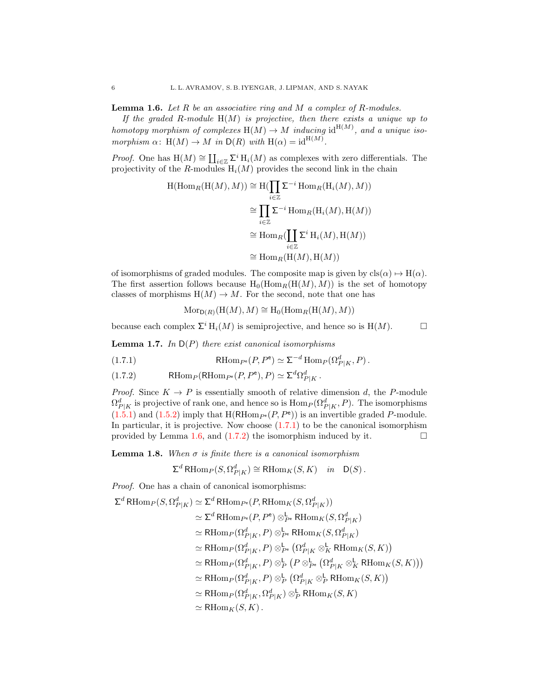<span id="page-5-1"></span>**Lemma 1.6.** Let  $R$  be an associative ring and  $M$  a complex of  $R$ -modules.

If the graded R-module  $H(M)$  is projective, then there exists a unique up to homotopy morphism of complexes  $H(M) \to M$  inducing id  $H^{(M)}$ , and a unique isomorphism  $\alpha$ : H(M)  $\rightarrow$  M in D(R) with H( $\alpha$ ) = id<sup>H(M)</sup>.

*Proof.* One has  $H(M) \cong \coprod_{i \in \mathbb{Z}} \Sigma^i H_i(M)$  as complexes with zero differentials. The projectivity of the R-modules  $H_i(M)$  provides the second link in the chain

$$
H(\text{Hom}_R(H(M), M)) \cong H(\prod_{i \in \mathbb{Z}} \Sigma^{-i} \text{Hom}_R(H_i(M), M))
$$

$$
\cong \prod_{i \in \mathbb{Z}} \Sigma^{-i} \text{Hom}_R(H_i(M), H(M))
$$

$$
\cong \text{Hom}_R(\coprod_{i \in \mathbb{Z}} \Sigma^i H_i(M), H(M))
$$

$$
\cong \text{Hom}_R(H(M), H(M))
$$

of isomorphisms of graded modules. The composite map is given by  ${\rm cls}(\alpha) \mapsto {\rm H}(\alpha)$ . The first assertion follows because  $H_0(Hom_R(H(M), M))$  is the set of homotopy classes of morphisms  $H(M) \to M$ . For the second, note that one has

$$
Mor_{D(R)}(H(M), M) \cong H_0(Hom_R(H(M), M))
$$

because each complex  $\Sigma^i$  H<sub>i</sub> $(M)$  is semiprojective, and hence so is H $(M)$ .

**Lemma 1.7.** In  $D(P)$  there exist canonical isomorphisms

<span id="page-5-0"></span>(1.7.1) 
$$
\text{RHom}_{P^e}(P, P^e) \simeq \Sigma^{-d} \text{Hom}_P(\Omega_{P|K}^d, P).
$$

<span id="page-5-2"></span>(1.7.2) RHom<sub>P</sub>(RHom<sub>P<sup>e</sup></sub> $(P, P^e), P$ )  $\simeq \Sigma^d \Omega_{P|K}^d$ .

*Proof.* Since  $K \to P$  is essentially smooth of relative dimension d, the P-module  $\Omega_{P|K}^d$  is projective of rank one, and hence so is  $\text{Hom}_P(\Omega_{P|K}^d, P)$ . The isomorphisms  $(1.5.1)$  and  $(1.5.2)$  imply that  $H(RHom_{P^e}(P, P^e))$  is an invertible graded P-module. In particular, it is projective. Now choose  $(1.7.1)$  to be the canonical isomorphism provided by Lemma [1.6,](#page-5-1) and [\(1.7.2\)](#page-5-2) the isomorphism induced by it.  $\Box$ 

<span id="page-5-3"></span>**Lemma 1.8.** When  $\sigma$  is finite there is a canonical isomorphism

$$
\Sigma^{d} \operatorname{RHom}_{P}(S, \Omega^{d}_{P|K}) \cong \operatorname{RHom}_{K}(S, K) \quad in \quad \mathsf{D}(S).
$$

Proof. One has a chain of canonical isomorphisms:

$$
\Sigma^{d} \text{RHom}_{P}(S, \Omega_{P|K}^{d}) \simeq \Sigma^{d} \text{RHom}_{P^{e}}(P, \text{RHom}_{K}(S, \Omega_{P|K}^{d}))
$$
  
\n
$$
\simeq \Sigma^{d} \text{RHom}_{P^{e}}(P, P^{e}) \otimes_{P^{e}}^{1} \text{RHom}_{K}(S, \Omega_{P|K}^{d})
$$
  
\n
$$
\simeq \text{RHom}_{P}(\Omega_{P|K}^{d}, P) \otimes_{P^{e}}^{1} \text{RHom}_{K}(S, \Omega_{P|K}^{d})
$$
  
\n
$$
\simeq \text{RHom}_{P}(\Omega_{P|K}^{d}, P) \otimes_{P^{e}}^{1} (\Omega_{P|K}^{d} \otimes_{K}^{1} \text{RHom}_{K}(S, K))
$$
  
\n
$$
\simeq \text{RHom}_{P}(\Omega_{P|K}^{d}, P) \otimes_{P}^{1} (P \otimes_{P^{e}}^{1} (\Omega_{P|K}^{d} \otimes_{K}^{1} \text{RHom}_{K}(S, K)))
$$
  
\n
$$
\simeq \text{RHom}_{P}(\Omega_{P|K}^{d}, \Omega_{P|K}^{d}) \otimes_{P}^{1} \text{RHom}_{K}(S, K)
$$
  
\n
$$
\simeq \text{RHom}_{F}(\Omega_{P|K}^{d}, \Omega_{P|K}^{d}) \otimes_{P}^{1} \text{RHom}_{K}(S, K)
$$
  
\n
$$
\simeq \text{RHom}_{K}(S, K).
$$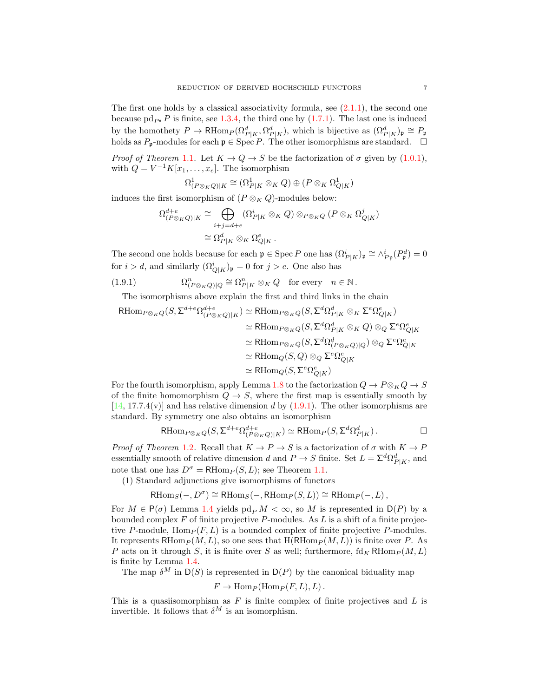The first one holds by a classical associativity formula, see  $(2.1.1)$ , the second one because pd<sub>P</sub> P is finite, see [1.3.4,](#page-3-1) the third one by [\(1.7.1\)](#page-5-0). The last one is induced by the homothety  $P \to \text{RHom}_P(\Omega^d_{P|K}, \Omega^d_{P|K})$ , which is bijective as  $(\Omega^d_{P|K})_{\mathfrak{p}} \cong P_{\mathfrak{p}}$ holds as  $P_p$ -modules for each  $\mathfrak{p} \in \text{Spec } P$ . The other isomorphisms are standard.  $\Box$ 

*Proof of Theorem* [1.1](#page-2-2). Let  $K \to Q \to S$  be the factorization of  $\sigma$  given by [\(1.0.1\)](#page-2-3), with  $Q = V^{-1}K[x_1,\ldots,x_e]$ . The isomorphism

$$
\Omega^1_{(P\otimes_K Q)|K}\cong (\Omega^1_{P|K}\otimes_K Q)\oplus (P\otimes_K\Omega^1_{Q|K})
$$

induces the first isomorphism of  $(P \otimes_K Q)$ -modules below:

$$
\Omega_{(P \otimes_K Q)|K}^{d+e} \cong \bigoplus_{i+j=d+e} (\Omega_{P|K}^i \otimes_K Q) \otimes_{P \otimes_K Q} (P \otimes_K \Omega_{Q|K}^j)
$$
  

$$
\cong \Omega_{P|K}^d \otimes_K \Omega_{Q|K}^e.
$$

The second one holds because for each  $\mathfrak{p} \in \text{Spec } P$  one has  $(\Omega^i_{P|K})_{\mathfrak{p}} \cong \wedge^i_{P\mathfrak{p}}(P^d_{\mathfrak{p}}) = 0$ for  $i > d$ , and similarly  $(\Omega^i_{Q|K})_{\mathfrak{p}} = 0$  for  $j > e$ . One also has

 $(1.9.1)$  ${}_{(P\otimes_KQ)|Q}^n \cong \Omega_{P|K}^n \otimes_KQ$  for every  $n \in \mathbb{N}$ .

<span id="page-6-0"></span>The isomorphisms above explain the first and third links in the chain

$$
\begin{aligned} \mathrm{RHom}_{P\otimes_KQ}(S, \Sigma^{d+e}\Omega_{(P\otimes_KQ)|K}^{d+e}) &\simeq \mathrm{RHom}_{P\otimes_KQ}(S, \Sigma^d\Omega_{P|K}^d\otimes_K\Sigma^e\Omega_{Q|K}^e)\\ &\simeq \mathrm{RHom}_{P\otimes_KQ}(S, \Sigma^d\Omega_{P|K}^d\otimes_KQ)\otimes_Q\Sigma^e\Omega_{Q|K}^e\\ &\simeq \mathrm{RHom}_{P\otimes_KQ}(S, \Sigma^d\Omega_{(P\otimes_KQ)|Q}^d)\otimes_Q\Sigma^e\Omega_{Q|K}^e\\ &\simeq \mathrm{RHom}_Q(S, Q)\otimes_Q\Sigma^e\Omega_{Q|K}^e\\ &\simeq \mathrm{RHom}_Q(S, \Sigma^e\Omega_{Q|K}^e) \end{aligned}
$$

For the fourth isomorphism, apply Lemma [1.8](#page-5-3) to the factorization  $Q \to P \otimes_K Q \to S$ of the finite homomorphism  $Q \to S$ , where the first map is essentially smooth by  $[14, 17.7.4(v)]$  $[14, 17.7.4(v)]$  and has relative dimension d by  $(1.9.1)$ . The other isomorphisms are standard. By symmetry one also obtains an isomorphism

$$
\text{RHom}_{P\otimes_K Q}(S, \Sigma^{d+e}\Omega_{(P\otimes_K Q)|K}^{d+e}) \simeq \text{RHom}_P(S, \Sigma^d \Omega_{P|K}^d).
$$

*Proof of Theorem* [1.2](#page-2-4). Recall that  $K \to P \to S$  is a factorization of  $\sigma$  with  $K \to P$ essentially smooth of relative dimension d and  $P \to S$  finite. Set  $L = \sum^{d} \Omega^{d}_{P|K}$ , and note that one has  $D^{\sigma} = \text{RHom}_{P}(S, L)$ ; see Theorem [1.1.](#page-2-2)

(1) Standard adjunctions give isomorphisms of functors

$$
\text{RHom}_S(-, D^{\sigma}) \cong \text{RHom}_S(-, \text{RHom}_P(S, L)) \cong \text{RHom}_P(-, L),
$$

For  $M \in \mathsf{P}(\sigma)$  Lemma [1.4](#page-4-3) yields  $\mathrm{pd}_P M < \infty$ , so M is represented in  $\mathsf{D}(P)$  by a bounded complex  $F$  of finite projective  $P$ -modules. As  $L$  is a shift of a finite projective P-module,  $\text{Hom}_P(F, L)$  is a bounded complex of finite projective P-modules. It represents RHom $_P(M, L)$ , so one sees that H(RHom $_P(M, L)$ ) is finite over P. As P acts on it through S, it is finite over S as well; furthermore,  $\mathrm{fd}_K \mathrm{RHom}_P (M, L)$ is finite by Lemma [1.4.](#page-4-3)

The map  $\delta^M$  in  $D(S)$  is represented in  $D(P)$  by the canonical biduality map

$$
F \to \text{Hom}_P(\text{Hom}_P(F, L), L).
$$

This is a quasiisomorphism as  $F$  is finite complex of finite projectives and  $L$  is invertible. It follows that  $\delta^M$  is an isomorphism.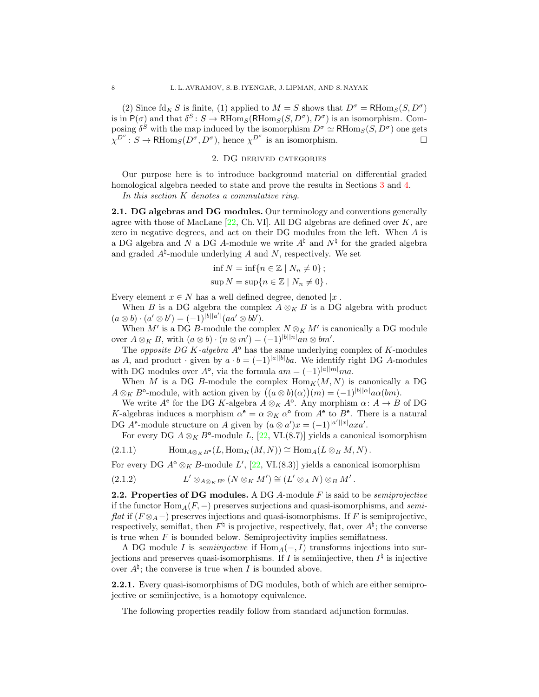(2) Since  $\mathrm{fd}_K S$  is finite, (1) applied to  $M = S$  shows that  $D^{\sigma} = \mathrm{RHom}_S(S, D^{\sigma})$ is in  $P(\sigma)$  and that  $\delta^S \colon S \to \mathsf{RHom}_S(\mathsf{RHom}_S(S, D^{\sigma}), D^{\sigma})$  is an isomorphism. Composing  $\delta^S$  with the map induced by the isomorphism  $D^{\sigma} \simeq \text{RHom}_S(S, D^{\sigma})$  one gets  $\chi^{D^{\sigma}}: S \to \text{RHom}_S(D^{\sigma}, D^{\sigma})$ , hence  $\chi^{D^{\sigma}}$  is an isomorphism.

## 2. DG derived categories

<span id="page-7-0"></span>Our purpose here is to introduce background material on differential graded homological algebra needed to state and prove the results in Sections [3](#page-9-0) and [4.](#page-15-0)

In this section K denotes a commutative ring.

2.1. DG algebras and DG modules. Our terminology and conventions generally agree with those of MacLane  $[22, Ch. VI]$ . All DG algebras are defined over K, are zero in negative degrees, and act on their DG modules from the left. When A is a DG algebra and N a DG A-module we write  $A^{\dagger}$  and  $N^{\dagger}$  for the graded algebra and graded  $A^{\natural}$ -module underlying A and N, respectively. We set

$$
\inf N = \inf \{ n \in \mathbb{Z} \mid N_n \neq 0 \};
$$
  

$$
\sup N = \sup \{ n \in \mathbb{Z} \mid N_n \neq 0 \}.
$$

Every element  $x \in N$  has a well defined degree, denoted |x|.

When B is a DG algebra the complex  $A \otimes_K B$  is a DG algebra with product  $(a \otimes b) \cdot (a' \otimes b') = (-1)^{|b||a'|} (aa' \otimes bb').$ 

When  $M'$  is a DG B-module the complex  $N \otimes_K M'$  is canonically a DG module over  $A \otimes_K B$ , with  $(a \otimes b) \cdot (n \otimes m') = (-1)^{|b||n|} an \otimes bm'.$ 

The *opposite DG K-algebra*  $A^{\circ}$  has the same underlying complex of K-modules as A, and product · given by  $a \cdot b = (-1)^{|a||b|}ba$ . We identify right DG A-modules with DG modules over  $A^{\circ}$ , via the formula  $am = (-1)^{|a||m|} ma$ .

When M is a DG B-module the complex  $\text{Hom}_K(M, N)$  is canonically a DG  $A \otimes_K B^{\circ}\text{-module, with action given by } ((a \otimes b)(\alpha))(m) = (-1)^{|b||\alpha|} a\alpha(bm).$ 

We write  $A^e$  for the DG K-algebra  $A \otimes_K A^o$ . Any morphism  $\alpha: A \to B$  of DG K-algebras induces a morphism  $\alpha^e = \alpha \otimes_K \alpha^o$  from  $A^e$  to  $B^e$ . There is a natural DG  $A^e$ -module structure on A given by  $(a \otimes a')x = (-1)^{|a'||x|}axa'.$ 

<span id="page-7-1"></span>For every DG  $A \otimes_K B^{\circ}$ -module L, [\[22,](#page-31-5) VI.(8.7)] yields a canonical isomorphism

(2.1.1) 
$$
\operatorname{Hom}_{A \otimes_K B^{\circ}}(L, \operatorname{Hom}_K(M, N)) \cong \operatorname{Hom}_A(L \otimes_B M, N).
$$

For every DG  $A^{\circ} \otimes_K B$ -module  $L'$ ,  $[22, \text{VI}.(8.3)]$  yields a canonical isomorphism

<span id="page-7-3"></span>(2.1.2) 
$$
L' \otimes_{A \otimes_K B^{\circ}} (N \otimes_K M') \cong (L' \otimes_A N) \otimes_B M'.
$$

**2.2.** Properties of DG modules. A DG A-module  $F$  is said to be *semiprojective* if the functor  $\text{Hom}_{A}(F, -)$  preserves surjections and quasi-isomorphisms, and semi*flat* if  $(F \otimes_A -)$  preserves injections and quasi-isomorphisms. If F is semiprojective, respectively, semiflat, then  $F^{\natural}$  is projective, respectively, flat, over  $A^{\natural}$ ; the converse is true when  $F$  is bounded below. Semiprojectivity implies semiflatness.

A DG module I is *semiinjective* if  $Hom_A(-, I)$  transforms injections into surjections and preserves quasi-isomorphisms. If I is semiinjective, then  $I^{\natural}$  is injective over  $A^{\natural}$ ; the converse is true when I is bounded above.

<span id="page-7-2"></span>2.2.1. Every quasi-isomorphisms of DG modules, both of which are either semiprojective or semiinjective, is a homotopy equivalence.

The following properties readily follow from standard adjunction formulas.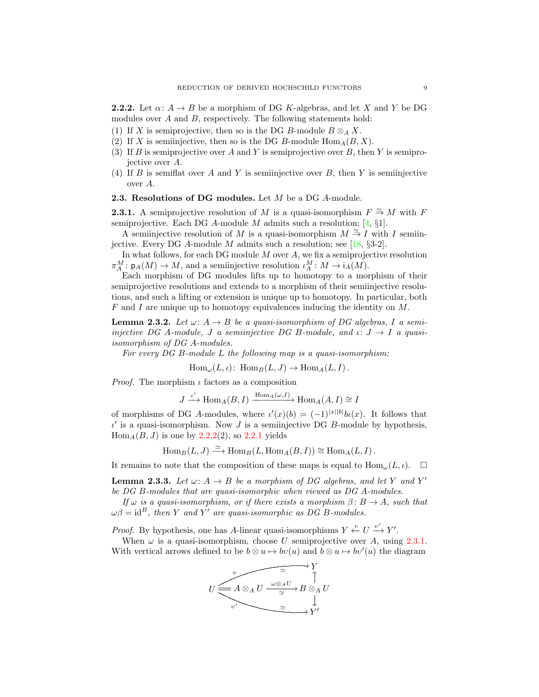<span id="page-8-1"></span>**2.2.2.** Let  $\alpha: A \to B$  be a morphism of DG K-algebras, and let X and Y be DG modules over A and B, respectively. The following statements hold:

- (1) If X is semiprojective, then so is the DG B-module  $B \otimes_A X$ .
- (2) If X is semiinjective, then so is the DG B-module  $\text{Hom}_{A}(B, X)$ .
- (3) If B is semiprojective over A and Y is semiprojective over B, then Y is semiprojective over A.
- (4) If  $B$  is semiflat over  $A$  and  $Y$  is semiinjective over  $B$ , then  $Y$  is semiinjective over A.
- **2.3. Resolutions of DG modules.** Let  $M$  be a DG  $A$ -module.

<span id="page-8-0"></span>**2.3.1.** A semiprojective resolution of M is a quasi-isomorphism  $F \cong M$  with F semiprojective. Each DG A-module M admits such a resolution;  $[4, §1]$ .

A semiiniective resolution of M is a quasi-isomorphism  $M \stackrel{\simeq}{\rightarrow} I$  with I semiin-iective. Every DG A-module M admits such a resolution; see [\[18,](#page-31-6)  $\S 3-2$ ].

In what follows, for each DG module  $M$  over  $A$ , we fix a semiprojective resolution  $\pi_A^M: \mathsf{p}_A(M) \to M$ , and a semiinjective resolution  $\iota_A^M: M \to \mathsf{i}_A(M)$ .

Each morphism of DG modules lifts up to homotopy to a morphism of their semiprojective resolutions and extends to a morphism of their semiinjective resolutions, and such a lifting or extension is unique up to homotopy. In particular, both F and I are unique up to homotopy equivalences inducing the identity on M.

<span id="page-8-2"></span>**Lemma 2.3.2.** Let  $\omega: A \rightarrow B$  be a quasi-isomorphism of DG algebras, I a semiinjective DG A-module, J a semiinjective DG B-module, and  $\iota: J \to I$  a quasiisomorphism of DG A-modules.

For every DG B-module L the following map is a quasi-isomorphism:

 $\text{Hom}_{\omega}(L, \iota): \text{Hom}_{B}(L, J) \to \text{Hom}_{A}(L, I).$ 

*Proof.* The morphism  $\iota$  factors as a composition

$$
J \xrightarrow{\iota'} \text{Hom}_A(B, I) \xrightarrow{\text{Hom}_A(\omega, I)} \text{Hom}_A(A, I) \cong I
$$

of morphisms of DG A-modules, where  $\iota'(x)(b) = (-1)^{|x||b|} b\iota(x)$ . It follows that  $\iota'$  is a quasi-isomorphism. Now J is a semiinjective DG B-module by hypothesis,  $Hom<sub>A</sub>(B, J)$  is one by [2.2.2\(](#page-8-1)2), so [2.2.1](#page-7-2) yields

$$
\operatorname{Hom}_B(L, J) \xrightarrow{\simeq} \operatorname{Hom}_B(L, \operatorname{Hom}_A(B, I)) \cong \operatorname{Hom}_A(L, I).
$$

It remains to note that the composition of these maps is equal to  $\text{Hom}_{\omega}(L, \iota)$ .

<span id="page-8-3"></span>**Lemma 2.3.3.** Let  $\omega: A \to B$  be a morphism of DG algebras, and let Y and Y' be DG B-modules that are quasi-isomorphic when viewed as DG A-modules.

If  $\omega$  is a quasi-isomorphism, or if there exists a morphism  $\beta: B \to A$ , such that  $\omega\beta = id^B$ , then Y and Y' are quasi-isomorphic as DG B-modules.

*Proof.* By hypothesis, one has A-linear quasi-isomorphisms  $Y \xleftarrow{v} U \xrightarrow{v'} Y'$ .

When  $\omega$  is a quasi-isomorphism, choose U semiprojective over A, using [2.3.1.](#page-8-0) With vertical arrows defined to be  $b \otimes u \mapsto bv(u)$  and  $b \otimes u \mapsto bv'(u)$  the diagram

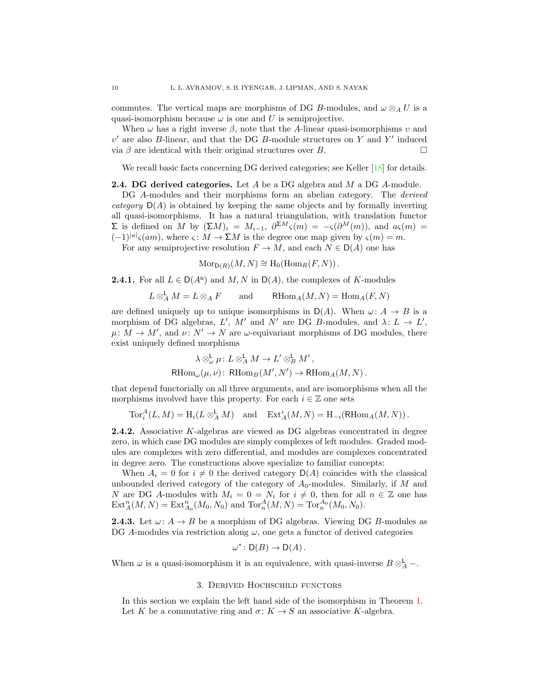commutes. The vertical maps are morphisms of DG B-modules, and  $\omega \otimes_A U$  is a quasi-isomorphism because  $\omega$  is one and U is semiprojective.

When  $\omega$  has a right inverse  $\beta$ , note that the A-linear quasi-isomorphisms  $\nu$  and  $v'$  are also B-linear, and that the DG B-module structures on Y and Y' induced via  $\beta$  are identical with their original structures over B.

We recall basic facts concerning DG derived categories; see Keller [\[18\]](#page-31-6) for details.

#### **2.4. DG derived categories.** Let  $A$  be a DG algebra and  $M$  a DG  $A$ -module.

DG A-modules and their morphisms form an abelian category. The *derived* category  $D(A)$  is obtained by keeping the same objects and by formally inverting all quasi-isomorphisms. It has a natural triangulation, with translation functor  $\Sigma$  is defined on M by  $(\Sigma M)_i = M_{i-1}$ ,  $\partial^{\Sigma M} \varsigma(m) = -\varsigma(\partial^M(m))$ , and  $a\varsigma(m) =$  $(-1)^{|a|} \varsigma(am)$ , where  $\varsigma: M \to \Sigma M$  is the degree one map given by  $\varsigma(m) = m$ .

For any semiprojective resolution  $F \to M$ , and each  $N \in D(A)$  one has

$$
\mathrm{Mor}_{\mathsf{D}(R)}(M,N) \cong \mathrm{H}_0(\mathrm{Hom}_R(F,N)).
$$

**2.4.1.** For all  $L \in D(A^{\circ})$  and  $M, N$  in  $D(A)$ , the complexes of K-modules

$$
L\otimes_A^{\mathsf{L}} M = L\otimes_A F \qquad \text{and} \qquad \mathsf{R}\mathrm{Hom}_A(M,N) = \mathrm{Hom}_A(F,N)
$$

are defined uniquely up to unique isomorphisms in  $D(A)$ . When  $\omega: A \rightarrow B$  is a morphism of DG algebras, L', M' and N' are DG B-modules, and  $\lambda: L \to L'$ ,  $\mu: M \to M'$ , and  $\nu: N' \to N$  are  $\omega$ -equivariant morphisms of DG modules, there exist uniquely defined morphisms

$$
\lambda \otimes_{\omega}^{\mathsf{L}} \mu: L \otimes_A^{\mathsf{L}} M \to L' \otimes_B^{\mathsf{L}} M',
$$
  
RHom <sub>$\omega$</sub>  $(\mu, \nu):$  RHom <sub>$B$</sub>  $(M', N') \to$  RHom <sub>$A$</sub>  $(M, N)$ .

that depend functorially on all three arguments, and are isomorphisms when all the morphisms involved have this property. For each  $i \in \mathbb{Z}$  one sets

 $\operatorname{Tor}_i^A(L,M) = \operatorname{H}_i(L \otimes_A^{\mathsf{L}} M)$  and  $\operatorname{Ext}_A^i(M,N) = \operatorname{H}_{-i}(\operatorname{RHom}_A(M,N))$ .

<span id="page-9-1"></span>2.4.2. Associative K-algebras are viewed as DG algebras concentrated in degree zero, in which case DG modules are simply complexes of left modules. Graded modules are complexes with zero differential, and modules are complexes concentrated in degree zero. The constructions above specialize to familiar concepts:

When  $A_i = 0$  for  $i \neq 0$  the derived category  $D(A)$  coincides with the classical unbounded derived category of the category of  $A_0$ -modules. Similarly, if M and N are DG A-modules with  $M_i = 0 = N_i$  for  $i \neq 0$ , then for all  $n \in \mathbb{Z}$  one has  $\text{Ext}_{A}^{n}(M, N) = \text{Ext}_{A_{0}}^{n}(M_{0}, N_{0})$  and  $\text{Tor}_{n}^{A}(M, N) = \text{Tor}_{n}^{A_{0}}(M_{0}, N_{0}).$ 

**2.4.3.** Let  $\omega: A \to B$  be a morphism of DG algebras. Viewing DG B-modules as DG A-modules via restriction along  $\omega$ , one gets a functor of derived categories

$$
\omega^* \colon \mathsf{D}(B) \to \mathsf{D}(A).
$$

When  $\omega$  is a quasi-isomorphism it is an equivalence, with quasi-inverse  $B \otimes_A^{\mathsf{L}}$  -.

#### 3. Derived Hochschild functors

<span id="page-9-0"></span>In this section we explain the left hand side of the isomorphism in Theorem [1.](#page-1-0) Let K be a commutative ring and  $\sigma: K \to S$  an associative K-algebra.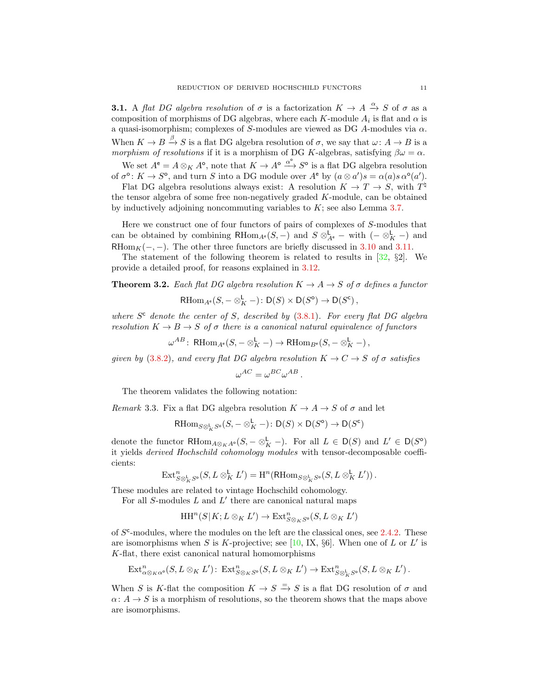<span id="page-10-1"></span>**3.1.** A flat DG algebra resolution of  $\sigma$  is a factorization  $K \to A \xrightarrow{\alpha} S$  of  $\sigma$  as a composition of morphisms of DG algebras, where each K-module  $A_i$  is flat and  $\alpha$  is a quasi-isomorphism; complexes of S-modules are viewed as DG A-modules via  $\alpha$ . When  $K \to B \xrightarrow{\beta} S$  is a flat DG algebra resolution of  $\sigma$ , we say that  $\omega: A \to B$  is a morphism of resolutions if it is a morphism of DG K-algebras, satisfying  $\beta \omega = \alpha$ .

We set  $A^e = A \otimes_K A^o$ , note that  $K \to A^o \xrightarrow{\alpha^o} S^o$  is a flat DG algebra resolution

of  $\sigma^{\circ}$ :  $K \to S^{\circ}$ , and turn S into a DG module over  $A^{\mathsf{e}}$  by  $(a \otimes a')s = \alpha(a)s \alpha^{\circ}(a')$ . Flat DG algebra resolutions always exist: A resolution  $K \to T \to S$ , with  $T^{\natural}$ the tensor algebra of some free non-negatively graded K-module, can be obtained by inductively adjoining noncommuting variables to  $K$ ; see also Lemma [3.7.](#page-13-0)

Here we construct one of four functors of pairs of complexes of S-modules that can be obtained by combining  $\mathsf{RHom}_{A^e}(S, -)$  and  $S \otimes_{A^e}^{\mathsf{L}}$  – with  $(- \otimes_K^{\mathsf{L}} -)$  and RHom<sub>K</sub> $(-, -)$ . The other three functors are briefly discussed in [3.10](#page-14-0) and [3.11.](#page-15-2)

The statement of the following theorem is related to results in  $[32, §2]$ . We provide a detailed proof, for reasons explained in [3.12.](#page-15-3)

<span id="page-10-0"></span>**Theorem 3.2.** Each flat DG algebra resolution  $K \to A \to S$  of  $\sigma$  defines a functor

$$
\mathrm{RHom}_{A^e}(S, -\otimes^{\mathsf{L}}_K -): \mathsf{D}(S) \times \mathsf{D}(S^{\mathsf{o}}) \to \mathsf{D}(S^{\mathsf{c}}) \,,
$$

where  $S^c$  denote the center of S, described by  $(3.8.1)$ . For every flat DG algebra resolution  $K \to B \to S$  of  $\sigma$  there is a canonical natural equivalence of functors

$$
\omega^{AB} \colon \operatorname{RHom}_{A^e}(S, -\otimes^{\mathsf{L}}_K -) \to \operatorname{RHom}_{B^e}(S, -\otimes^{\mathsf{L}}_K -),
$$

given by [\(3.8.2\)](#page-14-1), and every flat DG algebra resolution  $K \to C \to S$  of  $\sigma$  satisfies

$$
\omega^{AC} = \omega^{BC} \omega^{AB} \, .
$$

The theorem validates the following notation:

Remark 3.3. Fix a flat DG algebra resolution  $K \to A \to S$  of  $\sigma$  and let

$$
\text{RHom}_{S\otimes_K^{\mathbf{L}}S^{\mathbf{o}}}(S,-\otimes_K^{\mathbf{L}}-)\colon \mathsf{D}(S)\times \mathsf{D}(S^{\mathbf{o}})\to \mathsf{D}(S^{\mathbf{c}})
$$

denote the functor RHom<sub>A⊗KA</sub><sup>o</sup>(S, – ⊗<sub>K</sub> –). For all  $L \in D(S)$  and  $L' \in D(S^{\circ})$ it yields derived Hochschild cohomology modules with tensor-decomposable coefficients:

$$
\operatorname{Ext}^n_{S\otimes^{\mathbf{L}}_K S^{\mathbf{0}}}(S,L\otimes^{\mathbf{L}}_K L')=\operatorname{H}^n(\operatorname{RHom}_{S\otimes^{\mathbf{L}}_K S^{\mathbf{0}}}(S,L\otimes^{\mathbf{L}}_K L')).
$$

These modules are related to vintage Hochschild cohomology.

For all  $S$ -modules  $L$  and  $L'$  there are canonical natural maps

$$
\operatorname{HH}\nolimits^n(S|K;L \otimes_K L') \to \operatorname{Ext}\nolimits^n_{S \otimes_K S^{\mathrm{o}}}(S,L \otimes_K L')
$$

of  $S<sup>c</sup>$ -modules, where the modules on the left are the classical ones, see [2.4.2.](#page-9-1) These are isomorphisms when S is K-projective; see [\[10,](#page-30-2) IX,  $\S6$ ]. When one of L or L' is K-flat, there exist canonical natural homomorphisms

$$
\mathrm{Ext}^n_{\alpha \otimes_K \alpha} (S, L \otimes_K L') \colon \mathrm{Ext}^n_{S \otimes_K S} (S, L \otimes_K L') \to \mathrm{Ext}^n_{S \otimes^L_K S} (S, L \otimes_K L').
$$

When S is K-flat the composition  $K \to S \stackrel{=}{\to} S$  is a flat DG resolution of  $\sigma$  and  $\alpha: A \to S$  is a morphism of resolutions, so the theorem shows that the maps above are isomorphisms.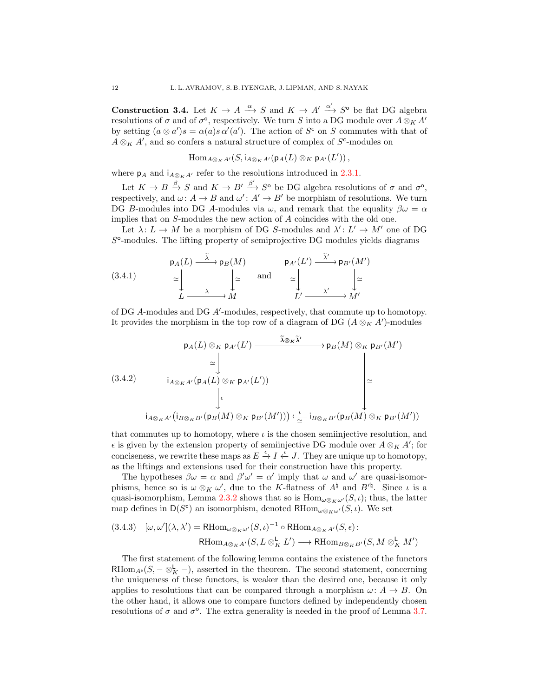<span id="page-11-0"></span>**Construction 3.4.** Let  $K \to A \xrightarrow{\alpha} S$  and  $K \to A' \xrightarrow{\alpha'} S^{\circ}$  be flat DG algebra resolutions of  $\sigma$  and of  $\sigma$ <sup>o</sup>, respectively. We turn S into a DG module over  $A \otimes_K A'$ by setting  $(a \otimes a')s = \alpha(a)s \alpha'(a')$ . The action of  $S^c$  on S commutes with that of  $A \otimes_K A'$ , and so confers a natural structure of complex of  $S^{\mathsf{c}}$ -modules on

$$
\operatorname{Hom}_{A\otimes_K A'}(S,\mathsf{i}_{A\otimes_K A'}(\mathsf{p}_A(L)\otimes_K\mathsf{p}_{A'}(L'))\,,
$$

where  $p_A$  and  $i_{A\otimes_K A'}$  refer to the resolutions introduced in [2.3.1.](#page-8-0)

Let  $K \to B \xrightarrow{\beta} S$  and  $K \to B' \xrightarrow{\beta'} S^{\circ}$  be DG algebra resolutions of  $\sigma$  and  $\sigma^{\circ}$ , respectively, and  $\omega: A \to B$  and  $\omega': A' \to B'$  be morphism of resolutions. We turn DG B-modules into DG A-modules via  $\omega$ , and remark that the equality  $\beta \omega = \alpha$ implies that on S-modules the new action of A coincides with the old one.

Let  $\lambda: L \to M$  be a morphism of DG S-modules and  $\lambda': L' \to M'$  one of DG  $S^{\circ}$ -modules. The lifting property of semiprojective DG modules yields diagrams

<span id="page-11-2"></span>(3.4.1) 
$$
\begin{array}{ccc}\n\mathsf{p}_A(L) & \xrightarrow{\tilde{\lambda}} \mathsf{p}_B(M) & \mathsf{p}_{A'}(L') & \xrightarrow{\tilde{\lambda}'} \mathsf{p}_{B'}(M') \\
\simeq & \succeq & \mathsf{and} & \simeq & \succeq & \succeq & \succeq & \succeq & \succeq & \succeq & \succeq & \succeq & \succeq & \succeq & \succeq & \succeq & \succeq & \succeq & \succeq & \succeq & \succeq & \succeq & \succeq & \succeq & \succeq & \succeq & \succeq & \succeq & \succeq & \succeq & \succeq & \succeq & \succeq & \succeq & \succeq & \succeq & \succeq & \succeq & \succeq & \succeq & \succeq & \succeq & \succeq & \succeq & \succeq & \succeq & \succeq & \succeq & \succeq & \succeq & \succeq & \succeq & \succeq & \succeq & \succeq & \succeq & \succeq & \succeq & \succeq & \succeq & \succeq & \succeq & \succeq & \succeq & \succeq & \succeq & \succeq & \succeq & \succeq & \succeq & \succeq & \succeq & \succeq & \succeq & \succeq & \succeq & \succeq & \succeq & \succeq & \succeq & \succeq & \succeq & \succeq & \succeq & \succeq & \succeq & \succeq & \succeq & \succeq & \succeq & \succeq & \succeq & \succeq & \succeq & \succeq & \succeq & \succeq & \succeq & \succeq & \succeq & \succeq & \succeq & \succeq & \succeq & \succeq & \succeq & \succeq & \succeq & \succeq & \succeq & \succeq & \succeq & \succeq & \succeq
$$

of DG  $A$ -modules and DG  $A'$ -modules, respectively, that commute up to homotopy. It provides the morphism in the top row of a diagram of DG  $(A \otimes_K A')$ -modules

<span id="page-11-3"></span>
$$
(3.4.2) \qquad \begin{array}{ccc}\n p_A(L) \otimes_K p_{A'}(L') & \xrightarrow{\tilde{\lambda} \otimes_K \tilde{\lambda}'} & p_B(M) \otimes_K p_{B'}(M') \\
 \cong & & & \\
 i_{A \otimes_K A'}(p_A(L) \otimes_K p_{A'}(L')) & & \\
 & & & \\
 \downarrow^{\epsilon} & & \\
 i_{A \otimes_K A'}(i_{B \otimes_K B'}(p_B(M) \otimes_K p_{B'}(M'))) \xleftarrow{\iota} i_{B \otimes_K B'}(p_B(M) \otimes_K p_{B'}(M'))\n \end{array}
$$

that commutes up to homotopy, where  $\iota$  is the chosen semiinjective resolution, and  $\epsilon$  is given by the extension property of semiinjective DG module over  $A \otimes_K A'$ ; for conciseness, we rewrite these maps as  $E \stackrel{\epsilon}{\to} I \stackrel{\tilde{\iota}}{\leftarrow} J$ . They are unique up to homotopy, as the liftings and extensions used for their construction have this property.

The hypotheses  $\beta \omega = \alpha$  and  $\beta' \omega' = \alpha'$  imply that  $\omega$  and  $\omega'$  are quasi-isomorphisms, hence so is  $\omega \otimes_K \omega'$ , due to the K-flatness of  $A^{\natural}$  and  $B'^{\natural}$ . Since  $\iota$  is a quasi-isomorphism, Lemma [2.3.2](#page-8-2) shows that so is  $\text{Hom}_{\omega \otimes_K \omega'}(S, \iota);$  thus, the latter map defines in  $\mathsf{D}(S^c)$  an isomorphism, denoted  $\mathrm{RHom}_{\omega\otimes_K\omega'}(S,\iota)$ . We set

<span id="page-11-1"></span>
$$
(3.4.3) \quad [\omega, \omega'](\lambda, \lambda') = \text{RHom}_{\omega \otimes_K \omega'}(S, \iota)^{-1} \circ \text{RHom}_{A \otimes_K A'}(S, \epsilon):
$$

$$
\text{RHom}_{A \otimes_K A'}(S, L \otimes_K^{\mathbf{L}} L') \longrightarrow \text{RHom}_{B \otimes_K B'}(S, M \otimes_K^{\mathbf{L}} M')
$$

The first statement of the following lemma contains the existence of the functors RHom<sub>A</sub><sup>e</sup>(S, –  $\otimes_K^{\mathsf{L}}$  –), asserted in the theorem. The second statement, concerning the uniqueness of these functors, is weaker than the desired one, because it only applies to resolutions that can be compared through a morphism  $\omega: A \to B$ . On the other hand, it allows one to compare functors defined by independently chosen resolutions of  $\sigma$  and  $\sigma^{\circ}$ . The extra generality is needed in the proof of Lemma [3.7.](#page-13-0)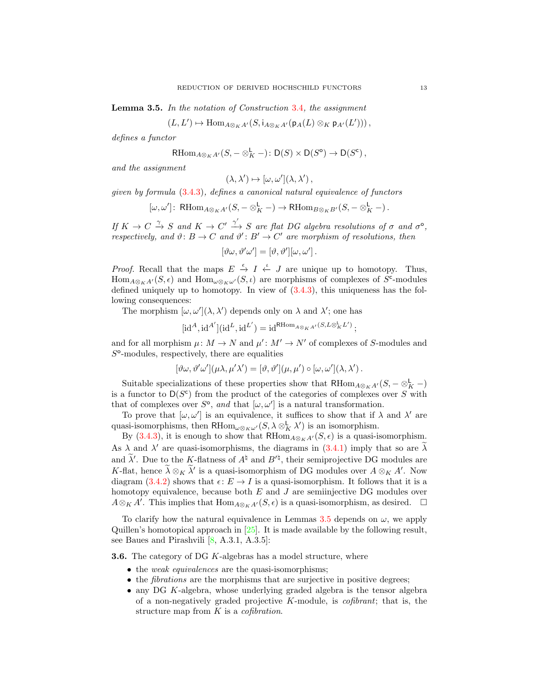<span id="page-12-0"></span>Lemma 3.5. In the notation of Construction [3.4](#page-11-0), the assignment

 $(L, L') \mapsto \text{Hom}_{A\otimes_K A'}(S, \mathfrak{i}_{A\otimes_K A'}(\mathfrak{p}_A(L)\otimes_K \mathfrak{p}_{A'}(L'))),$ 

defines a functor

$$
\mathrm{RHom}_{A\otimes_K A'}(S,-\otimes^{\mathbf{L}}_K -): \mathrm{D}(S)\times \mathrm{D}(S^{\mathrm{o}})\to \mathrm{D}(S^{\mathrm{c}})\,,
$$

and the assignment

$$
(\lambda, \lambda') \mapsto [\omega, \omega'](\lambda, \lambda'),
$$

given by formula [\(3.4.3\)](#page-11-1), defines a canonical natural equivalence of functors

$$
[\omega, \omega']\colon \operatorname{RHom}_{A\otimes_K A'}(S, -\otimes^{\mathsf{L}}_K -)\to \operatorname{RHom}_{B\otimes_K B'}(S, -\otimes^{\mathsf{L}}_K -).
$$

If  $K \to C \xrightarrow{\gamma} S$  and  $K \to C' \xrightarrow{\gamma'} S$  are flat DG algebra resolutions of  $\sigma$  and  $\sigma^{\circ}$ , respectively, and  $\vartheta: B \to C$  and  $\vartheta': B' \to C'$  are morphism of resolutions, then

$$
[\vartheta \omega, \vartheta' \omega'] = [\vartheta, \vartheta'] [\omega, \omega'] \, .
$$

*Proof.* Recall that the maps  $E \stackrel{\epsilon}{\to} I \stackrel{\iota}{\leftarrow} J$  are unique up to homotopy. Thus,  $\text{Hom}_{A\otimes_K A'}(S,\epsilon)$  and  $\text{Hom}_{\omega\otimes_K \omega'}(S,\iota)$  are morphisms of complexes of S<sup>c</sup>-modules defined uniquely up to homotopy. In view of [\(3.4.3\)](#page-11-1), this uniqueness has the following consequences:

The morphism  $[\omega, \omega'](\lambda, \lambda')$  depends only on  $\lambda$  and  $\lambda'$ ; one has

$$
[\mathrm{id}^A, \mathrm{id}^{A'}] (\mathrm{id}^L, \mathrm{id}^{L'}) = \mathrm{id}^{\mathrm{RHom}_{A \otimes_K A'}(S, L \otimes^{\mathbf{L}}_K L')};
$$

and for all morphism  $\mu: M \to N$  and  $\mu': M' \to N'$  of complexes of S-modules and  $S^{\circ}$ -modules, respectively, there are equalities

$$
[\vartheta \omega, \vartheta' \omega'](\mu \lambda, \mu' \lambda') = [\vartheta, \vartheta'](\mu, \mu') \circ [\omega, \omega'](\lambda, \lambda').
$$

Suitable specializations of these properties show that  $\mathrm{RHom}_{A\otimes_K A'}(S, -\otimes^{\mathsf{L}}_K -)$ is a functor to  $D(S^c)$  from the product of the categories of complexes over S with that of complexes over  $S^{\circ}$ , and that  $[\omega, \omega']$  is a natural transformation.

To prove that  $[\omega, \omega']$  is an equivalence, it suffices to show that if  $\lambda$  and  $\lambda'$  are quasi-isomorphisms, then  $\text{RHom}_{\omega \otimes_K \omega'}(S, \lambda \otimes_K^{\mathsf{L}} \lambda')$  is an isomorphism.

By [\(3.4.3\)](#page-11-1), it is enough to show that  $RHom_{A\otimes_K A'}(S, \epsilon)$  is a quasi-isomorphism. As  $\lambda$  and  $\lambda'$  are quasi-isomorphisms, the diagrams in [\(3.4.1\)](#page-11-2) imply that so are  $\lambda$ and  $\lambda'$ . Due to the K-flatness of  $A^{\natural}$  and  $B'^{\natural}$ , their semiprojective DG modules are K-flat, hence  $\lambda \otimes_K \lambda'$  is a quasi-isomorphism of DG modules over  $A \otimes_K A'$ . Now diagram [\(3.4.2\)](#page-11-3) shows that  $\epsilon: E \to I$  is a quasi-isomorphism. It follows that it is a homotopy equivalence, because both  $E$  and  $J$  are semiinjective DG modules over  $A \otimes_K A'$ . This implies that  $\text{Hom}_{A \otimes_K A'}(S, \epsilon)$  is a quasi-isomorphism, as desired.  $\Box$ 

To clarify how the natural equivalence in Lemmas [3.5](#page-12-0) depends on  $\omega$ , we apply Quillen's homotopical approach in [\[25\]](#page-31-8). It is made available by the following result, see Baues and Pirashvili [\[8,](#page-30-9) A.3.1, A.3.5]:

<span id="page-12-1"></span>**3.6.** The category of DG K-algebras has a model structure, where

- the *weak equivalences* are the quasi-isomorphisms;
- the *fibrations* are the morphisms that are surjective in positive degrees;
- any DG K-algebra, whose underlying graded algebra is the tensor algebra of a non-negatively graded projective  $K$ -module, is *cofibrant*; that is, the structure map from  $K$  is a *cofibration*.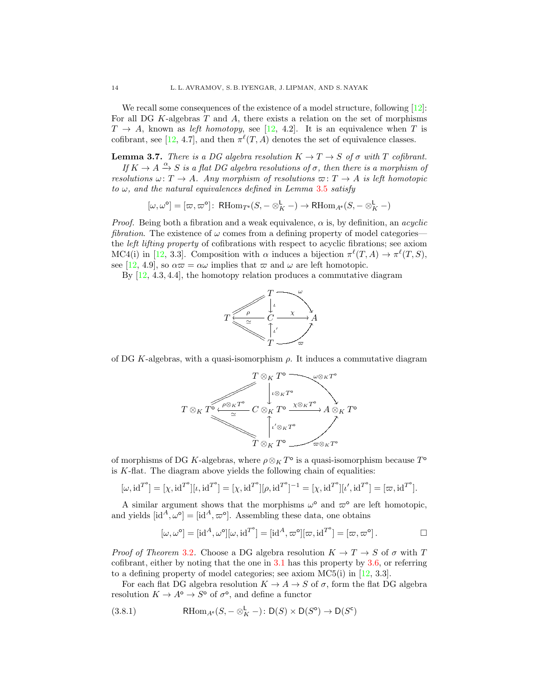We recall some consequences of the existence of a model structure, following [\[12\]](#page-30-10): For all DG  $K$ -algebras  $T$  and  $A$ , there exists a relation on the set of morphisms  $T \rightarrow A$ , known as left homotopy, see [\[12,](#page-30-10) 4.2]. It is an equivalence when T is cofibrant, see [\[12,](#page-30-10) 4.7], and then  $\pi^{\ell}(T, A)$  denotes the set of equivalence classes.

<span id="page-13-0"></span>**Lemma 3.7.** There is a DG algebra resolution  $K \to T \to S$  of  $\sigma$  with T cofibrant.

If  $K \to A \xrightarrow{\alpha} S$  is a flat DG algebra resolutions of  $\sigma$ , then there is a morphism of resolutions  $\omega: T \to A$ . Any morphism of resolutions  $\varpi: T \to A$  is left homotopic to  $\omega$ , and the natural equivalences defined in Lemma [3.5](#page-12-0) satisfy

$$
[\omega, \omega^{\circ}] = [\varpi, \varpi^{\circ}]: \ \mathsf{RHom}_{T^{\circ}}(S, -\otimes^{\mathsf{L}}_{K} -) \to \mathsf{RHom}_{A^{\circ}}(S, -\otimes^{\mathsf{L}}_{K} -)
$$

*Proof.* Being both a fibration and a weak equivalence,  $\alpha$  is, by definition, an *acyclic* fibration. The existence of  $\omega$  comes from a defining property of model categories the left lifting property of cofibrations with respect to acyclic fibrations; see axiom MC4(i) in [\[12,](#page-30-10) 3.3]. Composition with  $\alpha$  induces a bijection  $\pi^{\ell}(T, A) \to \pi^{\ell}(T, S)$ , see [\[12,](#page-30-10) 4.9], so  $\alpha\varpi = \alpha\omega$  implies that  $\varpi$  and  $\omega$  are left homotopic.

By  $[12, 4.3, 4.4]$ , the homotopy relation produces a commutative diagram



of DG K-algebras, with a quasi-isomorphism  $\rho$ . It induces a commutative diagram



of morphisms of DG K-algebras, where  $\rho \otimes_K T^{\circ}$  is a quasi-isomorphism because  $T^{\circ}$ is  $K$ -flat. The diagram above yields the following chain of equalities:

$$
[\omega, id^{T^{\circ}}] = [\chi, id^{T^{\circ}}][\iota, id^{T^{\circ}}] = [\chi, id^{T^{\circ}}][\rho, id^{T^{\circ}}]^{-1} = [\chi, id^{T^{\circ}}][\iota', id^{T^{\circ}}] = [\varpi, id^{T^{\circ}}].
$$

A similar argument shows that the morphisms  $\omega^{\circ}$  and  $\varpi^{\circ}$  are left homotopic, and yields  $[\text{id}^A, \omega^\circ] = [\text{id}^A, \varpi^\circ]$ . Assembling these data, one obtains

$$
[\omega, \omega^{\circ}] = [\mathrm{id}^A, \omega^{\circ}][\omega, \mathrm{id}^{T^{\circ}}] = [\mathrm{id}^A, \varpi^{\circ}][\varpi, \mathrm{id}^{T^{\circ}}] = [\varpi, \varpi^{\circ}].
$$

*Proof of Theorem [3.2](#page-10-0).* Choose a DG algebra resolution  $K \to T \to S$  of  $\sigma$  with T cofibrant, either by noting that the one in  $3.1$  has this property by  $3.6$ , or referring to a defining property of model categories; see axiom MC5(i) in [\[12,](#page-30-10) 3.3].

For each flat DG algebra resolution  $K \to A \to S$  of  $\sigma$ , form the flat DG algebra resolution  $K \to A^{\circ} \to S^{\circ}$  of  $\sigma^{\circ}$ , and define a functor

<span id="page-13-1"></span>(3.8.1) 
$$
\text{RHom}_{A^e}(S, -\otimes^{\mathsf{L}}_K -): \mathsf{D}(S) \times \mathsf{D}(S^{\mathsf{o}}) \to \mathsf{D}(S^{\mathsf{c}})
$$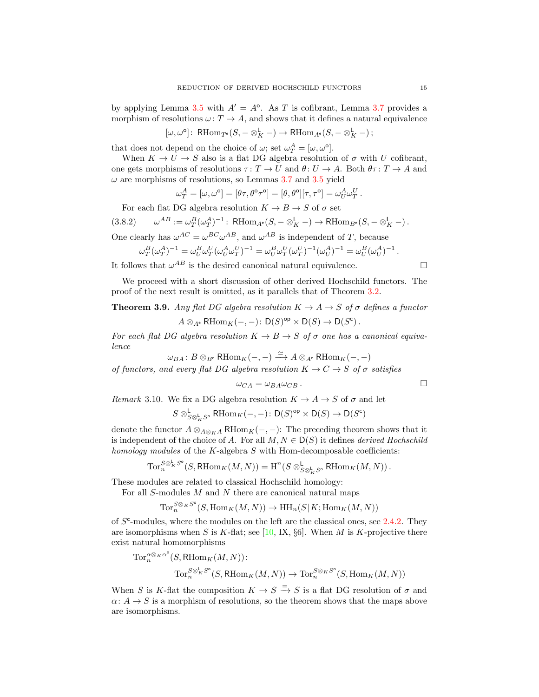by applying Lemma [3.5](#page-12-0) with  $A' = A^{\circ}$ . As T is cofibrant, Lemma [3.7](#page-13-0) provides a morphism of resolutions  $\omega: T \to A$ , and shows that it defines a natural equivalence

$$
[\omega, \omega^{\circ}]: \ \mathsf{R}\mathrm{Hom}_{T^{\mathsf{e}}}(S, -\otimes^{\mathsf{L}}_{K} -) \to \mathsf{R}\mathrm{Hom}_{A^{\mathsf{e}}}(S, -\otimes^{\mathsf{L}}_{K} -);
$$

that does not depend on the choice of  $\omega$ ; set  $\omega_T^A = [\omega, \omega^{\circ}].$ 

When  $K \to U \to S$  also is a flat DG algebra resolution of  $\sigma$  with U cofibrant, one gets morphisms of resolutions  $\tau: T \to U$  and  $\theta: U \to A$ . Both  $\theta \tau: T \to A$  and  $\omega$  are morphisms of resolutions, so Lemmas [3.7](#page-13-0) and [3.5](#page-12-0) yield

<span id="page-14-1"></span>
$$
\omega_T^A = [\omega, \omega^{\circ}] = [\theta \tau, \theta^{\circ} \tau^{\circ}] = [\theta, \theta^{\circ}][\tau, \tau^{\circ}] = \omega_U^A \omega_T^U.
$$

For each flat DG algebra resolution  $K \to B \to S$  of  $\sigma$  set

$$
(3.8.2) \qquad \omega^{AB} := \omega_T^B(\omega_T^A)^{-1} : \text{RHom}_{A^e}(S, -\otimes_K^L -) \to \text{RHom}_{B^e}(S, -\otimes_K^L -).
$$

One clearly has  $\omega^{AC} = \omega^{BC} \omega^{AB}$ , and  $\omega^{AB}$  is independent of T, because

$$
\omega_T^B(\omega_T^A)^{-1}=\omega_U^B\omega_T^U(\omega_U^A\omega_T^U)^{-1}=\omega_U^B\omega_T^U(\omega_T^U)^{-1}(\omega_U^A)^{-1}=\omega_U^B(\omega_U^A)^{-1}\,.
$$

It follows that  $\omega^{AB}$  is the desired canonical natural equivalence.

We proceed with a short discussion of other derived Hochschild functors. The proof of the next result is omitted, as it parallels that of Theorem [3.2.](#page-10-0)

<span id="page-14-2"></span>**Theorem 3.9.** Any flat DG algebra resolution  $K \to A \to S$  of  $\sigma$  defines a functor  $A \otimes_{A^e} \text{RHom}_K(-,-) \colon \mathsf{D}(S)^{\text{op}} \times \mathsf{D}(S) \to \mathsf{D}(S^c)$ .

For each flat DG algebra resolution  $K \to B \to S$  of  $\sigma$  one has a canonical equivalence

$$
\omega_{BA} \colon B \otimes_{B^e} \mathsf{R}\mathrm{Hom}_K(-,-) \xrightarrow{\simeq} A \otimes_{A^e} \mathsf{R}\mathrm{Hom}_K(-,-)
$$

of functors, and every flat DG algebra resolution  $K \to C \to S$  of  $\sigma$  satisfies

$$
\omega_{CA} = \omega_{BA}\omega_{CB} .
$$

<span id="page-14-0"></span>Remark 3.10. We fix a DG algebra resolution  $K \to A \to S$  of  $\sigma$  and let

$$
S \otimes^{\mathsf{L}}_{S \otimes^{\mathsf{L}}_{K} S^{\mathsf{o}}} \mathsf{R}\mathrm{Hom}_{K}(-,-) \colon \mathsf{D}(S)^{\mathsf{op}} \times \mathsf{D}(S) \to \mathsf{D}(S^{\mathsf{c}})
$$

denote the functor  $A \otimes_{A \otimes_K A} \mathsf{RHom}_K(-, -)$ : The preceding theorem shows that it is independent of the choice of A. For all  $M, N \in D(S)$  it defines *derived Hochschild* homology modules of the  $K$ -algebra  $S$  with Hom-decomposable coefficients:

$$
\operatorname{Tor}^{S\otimes^{\mathbf{L}}_K S^\circ}_{n}(S,\operatorname{RHom}_K(M,N))=\operatorname{H}^n(S\otimes^{\mathbf{L}}_{S\otimes^{\mathbf{L}}_KS^\circ}\operatorname{RHom}_K(M,N))\,.
$$

These modules are related to classical Hochschild homology:

For all  $S\operatorname{\!-modules}\nolimits M$  and  $N$  there are canonical natural maps

 $\text{Tor}_n^{S\otimes_KS^{\mathsf{o}}}$  $_{n}^{S\otimes_{K}S^{*}}(S,\text{Hom}_{K}(M,N))\to\text{HH}_{n}(S|K;\text{Hom}_{K}(M,N))$ 

of  $S^c$ -modules, where the modules on the left are the classical ones, see [2.4.2.](#page-9-1) They are isomorphisms when S is K-flat; see [\[10,](#page-30-2) IX, §6]. When M is K-projective there exist natural homomorphisms

$$
\label{eq:torus} \begin{split} \operatorname{Tor}^{\alpha \otimes_K \alpha^{\diamond}}_n(S, \operatorname{RHom}_K(M,N)) \colon \\ \operatorname{Tor}^{S \otimes^{\mathbf{L}}_n S^{\diamond}}_n(S, \operatorname{RHom}_K(M,N)) \rightarrow \operatorname{Tor}^{S \otimes_K S^{\diamond}}_n(S, \operatorname{Hom}_K(M,N)) \end{split}
$$

When S is K-flat the composition  $K \to S \stackrel{=}{\to} S$  is a flat DG resolution of  $\sigma$  and  $\alpha: A \to S$  is a morphism of resolutions, so the theorem shows that the maps above are isomorphisms.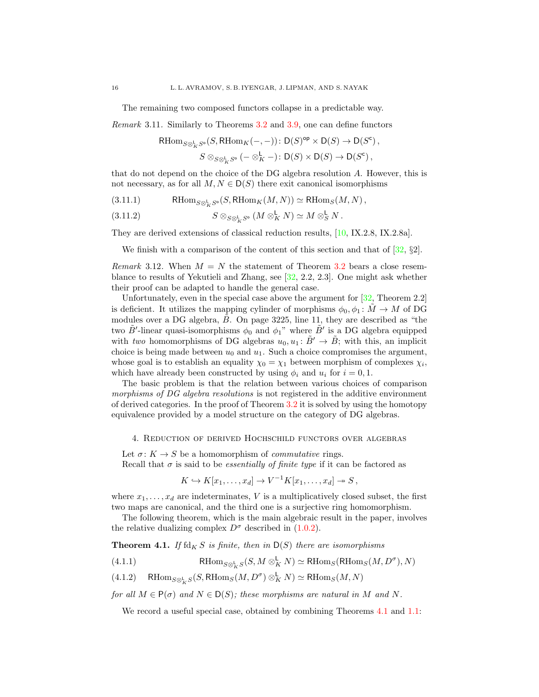The remaining two composed functors collapse in a predictable way.

<span id="page-15-2"></span>Remark 3.11. Similarly to Theorems [3.2](#page-10-0) and [3.9,](#page-14-2) one can define functors

$$
\mathrm{Hom}_{S\otimes^{\mathbf{L}}_K S^{\mathbf{o}}}(S, \mathrm{RHom}_K(-, -))\colon \mathsf{D}(S)^{\mathrm{op}} \times \mathsf{D}(S) \to \mathsf{D}(S^{\mathbf{c}}),
$$
  

$$
S \otimes_{S\otimes^{\mathbf{L}}_K S^{\mathbf{o}}} (- \otimes^{\mathbf{L}}_K -)\colon \mathsf{D}(S) \times \mathsf{D}(S) \to \mathsf{D}(S^{\mathbf{c}}),
$$

that do not depend on the choice of the DG algebra resolution A. However, this is not necessary, as for all  $M, N \in D(S)$  there exit canonical isomorphisms

<span id="page-15-6"></span>(3.11.1) RHom<sub>S</sub>⊗<sub>k</sub> So</sub> (S, RHom<sub>K</sub>(M, N))  $\simeq$  RHom<sub>S</sub>(M, N),

(3.11.2) 
$$
S \otimes_{S \otimes_K^{\mathsf{L}} S^{\circ}} (M \otimes_K^{\mathsf{L}} N) \simeq M \otimes_S^{\mathsf{L}} N.
$$

They are derived extensions of classical reduction results, [\[10,](#page-30-2) IX.2.8, IX.2.8a].

We finish with a comparison of the content of this section and that of  $[32, \S2]$ .

<span id="page-15-3"></span>Remark 3.12. When  $M = N$  the statement of Theorem [3.2](#page-10-0) bears a close resemblance to results of Yekutieli and Zhang, see [\[32,](#page-31-7) 2.2, 2.3]. One might ask whether their proof can be adapted to handle the general case.

Unfortunately, even in the special case above the argument for [\[32,](#page-31-7) Theorem 2.2] is deficient. It utilizes the mapping cylinder of morphisms  $\phi_0, \phi_1 \colon \tilde{M} \to M$  of DG modules over a DG algebra,  $\tilde{B}$ . On page 3225, line 11, they are described as "the two  $\tilde{B}'$ -linear quasi-isomorphisms  $\phi_0$  and  $\phi_1$ " where  $\tilde{B}'$  is a DG algebra equipped with two homomorphisms of DG algebras  $u_0, u_1: \tilde{B}' \to \tilde{B}$ ; with this, an implicit choice is being made between  $u_0$  and  $u_1$ . Such a choice compromises the argument, whose goal is to establish an equality  $\chi_0 = \chi_1$  between morphism of complexes  $\chi_i$ , which have already been constructed by using  $\phi_i$  and  $u_i$  for  $i = 0, 1$ .

The basic problem is that the relation between various choices of comparison morphisms of DG algebra resolutions is not registered in the additive environment of derived categories. In the proof of Theorem [3.2](#page-10-0) it is solved by using the homotopy equivalence provided by a model structure on the category of DG algebras.

#### <span id="page-15-0"></span>4. Reduction of derived Hochschild functors over algebras

Let  $\sigma: K \to S$  be a homomorphism of *commutative* rings. Recall that  $\sigma$  is said to be *essentially of finite type* if it can be factored as

$$
K \hookrightarrow K[x_1,\ldots,x_d] \to V^{-1}K[x_1,\ldots,x_d] \twoheadrightarrow S,
$$

where  $x_1, \ldots, x_d$  are indeterminates, V is a multiplicatively closed subset, the first two maps are canonical, and the third one is a surjective ring homomorphism.

The following theorem, which is the main algebraic result in the paper, involves the relative dualizing complex  $D^{\sigma}$  described in [\(1.0.2\)](#page-2-5).

<span id="page-15-1"></span>**Theorem 4.1.** If  $\text{fd}_K S$  is finite, then in  $D(S)$  there are isomorphisms

<span id="page-15-4"></span>(4.1.1) 
$$
\text{RHom}_{S\otimes^{\mathbf{L}}_KS}(S, M\otimes^{\mathbf{L}}_K N) \simeq \text{RHom}_S(\text{RHom}_S(M, D^{\sigma}), N)
$$

<span id="page-15-5"></span>(4.1.2) 
$$
\text{RHom}_{S\otimes_K^{\mathsf{L}}S}(S, \text{RHom}_S(M, D^{\sigma})\otimes_K^{\mathsf{L}}N) \simeq \text{RHom}_S(M, N)
$$

for all  $M \in \mathsf{P}(\sigma)$  and  $N \in \mathsf{D}(S)$ ; these morphisms are natural in M and N.

We record a useful special case, obtained by combining Theorems [4.1](#page-15-1) and [1.1:](#page-2-2)

 $R<sub>l</sub>$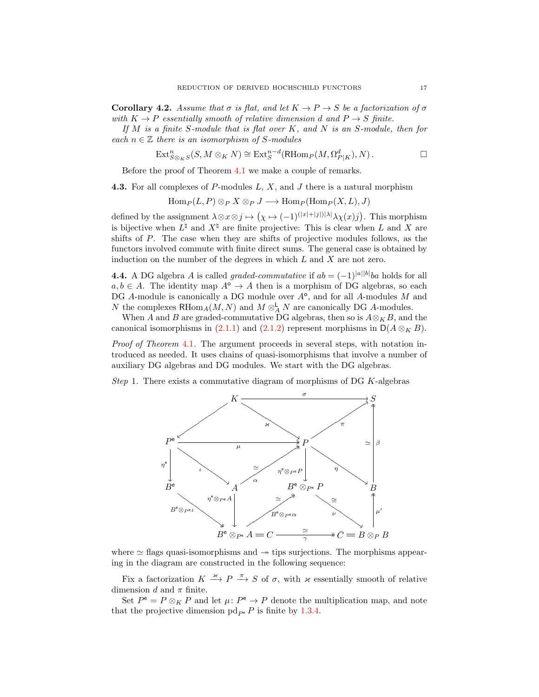**Corollary 4.2.** Assume that  $\sigma$  is flat, and let  $K \to P \to S$  be a factorization of  $\sigma$ with  $K \to P$  essentially smooth of relative dimension d and  $P \to S$  finite.

If  $M$  is a finite S-module that is flat over  $K$ , and  $N$  is an S-module, then for each  $n \in \mathbb{Z}$  there is an isomorphism of S-modules

$$
\text{Ext}^n_{S\otimes_K S}(S, M\otimes_K N)\cong \text{Ext}^{n-d}_S(\text{RHom}_P(M, \Omega^d_{P|K}), N)\,.
$$

Before the proof of Theorem [4.1](#page-15-1) we make a couple of remarks.

**4.3.** For all complexes of P-modules  $L, X$ , and  $J$  there is a natural morphism

$$
\operatorname{Hom}_P(L, P) \otimes_P X \otimes_P J \longrightarrow \operatorname{Hom}_P(\operatorname{Hom}_P(X, L), J)
$$

defined by the assignment  $\lambda \otimes x \otimes j \mapsto (\chi \mapsto (-1)^{(|x|+|j|)|\lambda|} \lambda \chi(x) j)$ . This morphism is bijective when  $L^{\dagger}$  and  $X^{\dagger}$  are finite projective: This is clear when L and X are shifts of P. The case when they are shifts of projective modules follows, as the functors involved commute with finite direct sums. The general case is obtained by induction on the number of the degrees in which  $L$  and  $X$  are not zero.

<span id="page-16-0"></span>**4.4.** A DG algebra A is called graded-commutative if  $ab = (-1)^{|a||b|}ba$  holds for all  $a, b \in A$ . The identity map  $A^{\circ} \to A$  then is a morphism of DG algebras, so each DG  $A$ -module is canonically a DG module over  $A^{\circ}$ , and for all  $A$ -modules  $M$  and N the complexes RHom<sub>A</sub> $(M, N)$  and  $M \otimes_A^{\mathsf{L}} N$  are canonically DG A-modules.

When A and B are graded-commutative DG algebras, then so is  $A \otimes_K B$ , and the canonical isomorphisms in [\(2.1.1\)](#page-7-1) and [\(2.1.2\)](#page-7-3) represent morphisms in  $\mathsf{D}(A \otimes_K B)$ .

Proof of Theorem [4.1](#page-15-1). The argument proceeds in several steps, with notation introduced as needed. It uses chains of quasi-isomorphisms that involve a number of auxiliary DG algebras and DG modules. We start with the DG algebras.

<span id="page-16-1"></span>Step 1. There exists a commutative diagram of morphisms of DG  $K$ -algebras



where  $\simeq$  flags quasi-isomorphisms and  $\rightarrow$  tips surjections. The morphisms appearing in the diagram are constructed in the following sequence:

Fix a factorization  $K \stackrel{\varkappa}{\longrightarrow} P \stackrel{\pi}{\longrightarrow} S$  of  $\sigma$ , with  $\varkappa$  essentially smooth of relative dimension d and  $\pi$  finite.

Set  $P^e = P \otimes_K P$  and let  $\mu: P^e \to P$  denote the multiplication map, and note that the projective dimension pd<sub> $P$ </sub> P is finite by [1.3.4.](#page-3-1)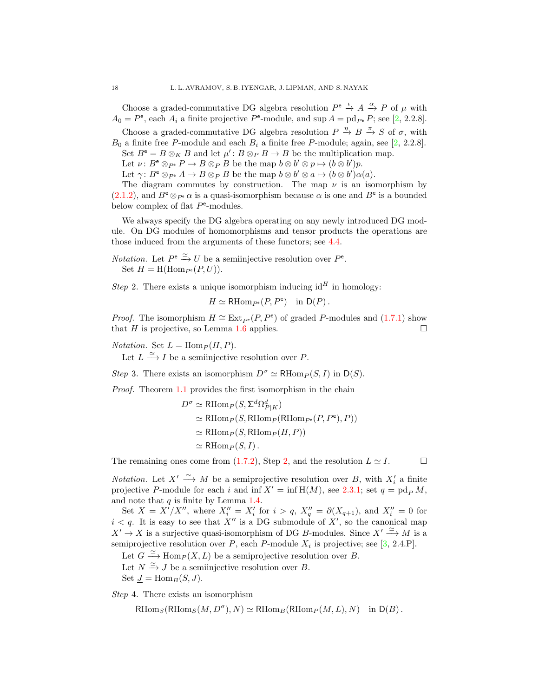Choose a graded-commutative DG algebra resolution  $P^e \stackrel{\iota}{\to} A \stackrel{\alpha}{\to} P$  of  $\mu$  with  $A_0 = P^{\text{e}}$ , each  $A_i$  a finite projective  $P^{\text{e}}$ -module, and sup  $A = \text{pd}_{P^{\text{e}}} P$ ; see [\[2,](#page-30-11) 2.2.8].

Choose a graded-commutative DG algebra resolution  $P \stackrel{\eta}{\to} B \stackrel{\pi}{\to} S$  of  $\sigma$ , with  $B_0$  a finite free P-module and each  $B_i$  a finite free P-module; again, see [\[2,](#page-30-11) 2.2.8].

Set  $B^e = B \otimes_K B$  and let  $\mu' : B \otimes_P B \to B$  be the multiplication map.

Let  $\nu: B^{\mathsf{e}} \otimes_{P^{\mathsf{e}}} P \to B \otimes_P B$  be the map  $b \otimes b' \otimes p \mapsto (b \otimes b')p$ .

Let  $\gamma: B^{\mathsf{e}} \otimes_{P^{\mathsf{e}}} A \to B \otimes_{P} B$  be the map  $b \otimes b' \otimes a \mapsto (b \otimes b')\alpha(a)$ .

The diagram commutes by construction. The map  $\nu$  is an isomorphism by  $(2.1.2)$ , and  $B^e \otimes_{P^e} \alpha$  is a quasi-isomorphism because  $\alpha$  is one and  $B^e$  is a bounded below complex of flat  $P^{\text{e}}$ -modules.

We always specify the DG algebra operating on any newly introduced DG module. On DG modules of homomorphisms and tensor products the operations are those induced from the arguments of these functors; see [4.4.](#page-16-0)

*Notation.* Let  $P^e \stackrel{\simeq}{\to} U$  be a semiinjective resolution over  $P^e$ . Set  $H = H(\text{Hom}_{P^e}(P, U)).$ 

<span id="page-17-0"></span>Step 2. There exists a unique isomorphism inducing  $id<sup>H</sup>$  in homology:

 $H \simeq \mathsf{R}\mathrm{Hom}_{P^e}(P,P^e)$  in  $\mathsf{D}(P)$ .

*Proof.* The isomorphism  $H \cong \text{Ext}_{P^e}(P, P^e)$  of graded P-modules and [\(1.7.1\)](#page-5-0) show that H is projective, so Lemma [1.6](#page-5-1) applies.  $\square$ 

*Notation.* Set  $L = \text{Hom}_P(H, P)$ .

Let  $L \stackrel{\simeq}{\longrightarrow} I$  be a semiinjective resolution over P.

<span id="page-17-1"></span>Step 3. There exists an isomorphism  $D^{\sigma} \simeq \mathrm{RHom}_{P}(S, I)$  in  $\mathsf{D}(S)$ .

Proof. Theorem [1.1](#page-2-2) provides the first isomorphism in the chain

$$
D^{\sigma} \simeq \text{RHom}_{P}(S, \Sigma^{d} \Omega_{P|K}^{d})
$$
  
\simeq \text{RHom}\_{P}(S, \text{RHom}\_{P}(\text{RHom}\_{P^{e}}(P, P^{e}), P))  
\simeq \text{RHom}\_{P}(S, \text{RHom}\_{P}(H, P))  
\simeq \text{RHom}\_{P}(S, I).

The remaining ones come from [\(1.7.2\)](#page-5-2), Step [2,](#page-17-0) and the resolution  $L \simeq I$ .

*Notation.* Let  $X' \stackrel{\simeq}{\longrightarrow} M$  be a semiprojective resolution over B, with  $X'_i$  a finite projective P-module for each i and inf  $X' = \inf H(M)$ , see [2.3.1;](#page-8-0) set  $q = \text{pd}_P M$ , and note that  $q$  is finite by Lemma [1.4.](#page-4-3)

Set  $X = X'/X''$ , where  $X''_i = X'_i$  for  $i > q$ ,  $X''_q = \partial(X_{q+1})$ , and  $X''_i = 0$  for  $i < q$ . It is easy to see that X'' is a DG submodule of X', so the canonical map  $X' \to X$  is a surjective quasi-isomorphism of DG B-modules. Since  $X' \xrightarrow{\simeq} M$  is a semiprojective resolution over P, each P-module  $X_i$  is projective; see [\[3,](#page-30-7) 2.4.P].

Let  $G \xrightarrow{\simeq} \text{Hom}_P(X, L)$  be a semiprojective resolution over B.

Let  $N \xrightarrow{\simeq} J$  be a semiinjective resolution over B.

Set  $J = \text{Hom}_B(S, J)$ .

<span id="page-17-2"></span>Step 4. There exists an isomorphism

 $\text{RHom}_S(\text{RHom}_S(M, D^{\sigma}), N) \simeq \text{RHom}_B(\text{RHom}_P(M, L), N)$  in  $D(B)$ .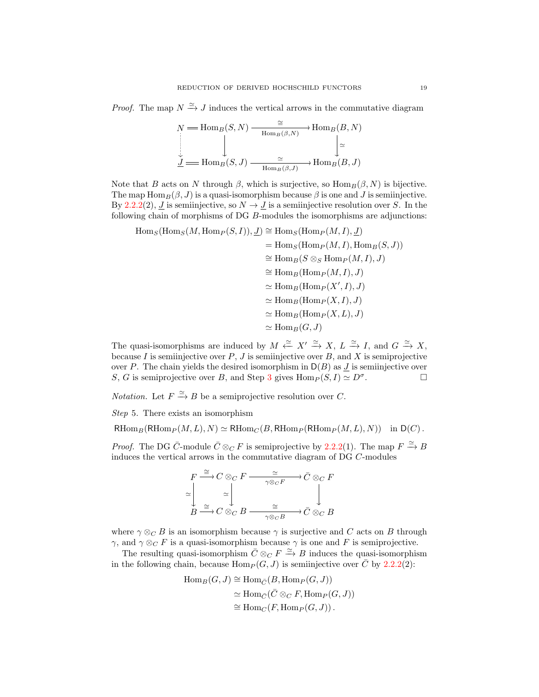*Proof.* The map  $N \stackrel{\simeq}{\to} J$  induces the vertical arrows in the commutative diagram

$$
N = \text{Hom}_{B}(S, N) \xrightarrow{\cong} \text{Hom}_{B}(B, N)
$$
  
\n
$$
\downarrow \qquad \qquad \downarrow \qquad \qquad \downarrow \qquad \qquad \downarrow \qquad \downarrow
$$
  
\n
$$
\underline{J} = \text{Hom}_{B}(S, J) \xrightarrow{\cong} \text{Hom}_{B}(\beta, J)
$$

Note that B acts on N through  $\beta$ , which is surjective, so  $\text{Hom}_B(\beta, N)$  is bijective. The map  $\text{Hom}_B(\beta, J)$  is a quasi-isomorphism because  $\beta$  is one and J is semiinjective. By [2.2.2\(](#page-8-1)2), *J* is semiinjective, so  $N \to J$  is a semiinjective resolution over S. In the following chain of morphisms of DG B-modules the isomorphisms are adjunctions:

$$
\begin{aligned} \text{Hom}_S(\text{Hom}_S(M, \text{Hom}_P(S, I)), \underline{J}) &\cong \text{Hom}_S(\text{Hom}_P(M, I), \underline{J}) \\ &= \text{Hom}_S(\text{Hom}_P(M, I), \text{Hom}_B(S, J)) \\ &\cong \text{Hom}_B(S \otimes_S \text{Hom}_P(M, I), J) \\ &\cong \text{Hom}_B(\text{Hom}_P(M, I), J) \\ &\cong \text{Hom}_B(\text{Hom}_P(X', I), J) \\ &\cong \text{Hom}_B(\text{Hom}_P(X, I), J) \\ &\cong \text{Hom}_B(\text{Hom}_P(X, L), J) \\ &\cong \text{Hom}_B(\text{Hom}_P(X, L), J) \\ &\cong \text{Hom}_B(G, J) \end{aligned}
$$

The quasi-isomorphisms are induced by  $M \stackrel{\simeq}{\leftarrow} X' \stackrel{\simeq}{\rightarrow} X, L \stackrel{\simeq}{\rightarrow} I$ , and  $G \stackrel{\simeq}{\rightarrow} X$ , because I is semiinjective over  $P, J$  is semiinjective over  $B$ , and  $X$  is semiprojective over P. The chain yields the desired isomorphism in  $D(B)$  as  $J$  is semiinjective over S, G is semiprojective over B, and Step [3](#page-17-1) gives  $\text{Hom}_P(S, I) \simeq D^{\sigma}$ . . — Первый профессиональный профессиональный стандарт (1980).<br>См. также

*Notation.* Let  $F \xrightarrow{\simeq} B$  be a semiprojective resolution over C.

Step 5. There exists an isomorphism

 $RHom_B(RHom_P(M, L), N) \simeq RHom_C(B, RHom_P(RHom_P(M, L), N))$  in  $D(C)$ .

*Proof.* The DG  $\bar{C}$ -module  $\bar{C} \otimes_C F$  is semiprojective by [2.2.2\(](#page-8-1)1). The map  $F \xrightarrow{\simeq} B$ induces the vertical arrows in the commutative diagram of DG C-modules

$$
F \xrightarrow{\cong} C \otimes_C F \xrightarrow{\sim} \widetilde{C} \otimes_C F
$$
  
\n
$$
\simeq \downarrow \qquad \simeq \downarrow \qquad \downarrow
$$
  
\n
$$
B \xrightarrow{\cong} C \otimes_C B \xrightarrow{\cong} \widetilde{C} \otimes_C B
$$

where  $\gamma \otimes_C B$  is an isomorphism because  $\gamma$  is surjective and C acts on B through  $γ$ , and  $γ \otimes_C F$  is a quasi-isomorphism because  $γ$  is one and F is semiprojective.

The resulting quasi-isomorphism  $\bar{C} \otimes_C F \xrightarrow{\simeq} B$  induces the quasi-isomorphism in the following chain, because  $\text{Hom}_P(G, J)$  is semiinjective over  $\overline{C}$  by [2.2.2\(](#page-8-1)2):

$$
\begin{aligned} \text{Hom}_B(G, J) &\cong \text{Hom}_{\bar{C}}(B, \text{Hom}_P(G, J)) \\ &\cong \text{Hom}_{\bar{C}}(\bar{C} \otimes_C F, \text{Hom}_P(G, J)) \\ &\cong \text{Hom}_C(F, \text{Hom}_P(G, J)). \end{aligned}
$$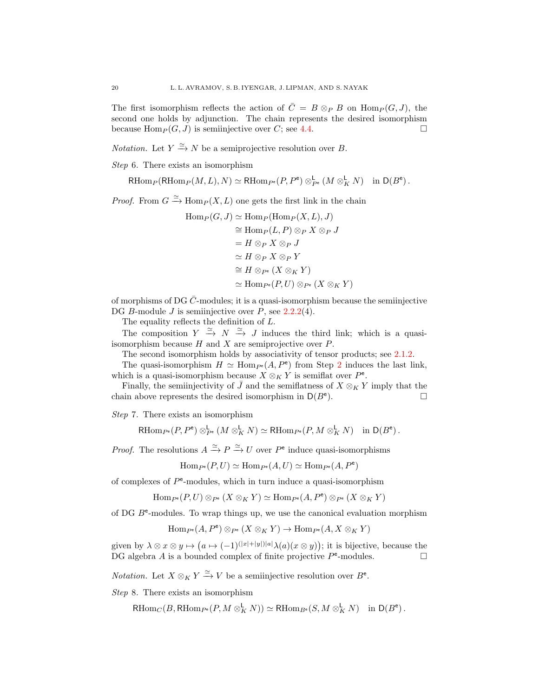The first isomorphism reflects the action of  $\overline{C} = B \otimes_P B$  on  $\text{Hom}_P(G, J)$ , the second one holds by adjunction. The chain represents the desired isomorphism because  $\text{Hom}_P(G, J)$  is semiinjective over C; see [4.4.](#page-16-0)

*Notation*. Let  $Y \xrightarrow{\simeq} N$  be a semiprojective resolution over B.

Step 6. There exists an isomorphism

 $R\text{Hom}_P(\text{RHom}_P(M,L), N) \simeq R\text{Hom}_{P^e}(P, P^e) \otimes_{P^e}^{\mathsf{L}} (M \otimes_K^{\mathsf{L}} N) \text{ in } \mathsf{D}(B^e).$ 

*Proof.* From  $G \xrightarrow{\simeq} \text{Hom}_P(X, L)$  one gets the first link in the chain

$$
\text{Hom}_P(G, J) \simeq \text{Hom}_P(\text{Hom}_P(X, L), J)
$$
  
\n
$$
\cong \text{Hom}_P(L, P) \otimes_P X \otimes_P J
$$
  
\n
$$
= H \otimes_P X \otimes_P J
$$
  
\n
$$
\simeq H \otimes_P X \otimes_P Y
$$
  
\n
$$
\cong H \otimes_{P^e} (X \otimes_K Y)
$$
  
\n
$$
\simeq \text{Hom}_{P^e}(P, U) \otimes_{P^e} (X \otimes_K Y)
$$

of morphisms of DG  $\overline{C}$ -modules; it is a quasi-isomorphism because the semiinjective DG B-module J is semiinjective over P, see  $2.2.2(4)$  $2.2.2(4)$ .

The equality reflects the definition of  $L$ .

The composition  $Y \stackrel{\simeq}{\to} N \stackrel{\simeq}{\to} J$  induces the third link; which is a quasiisomorphism because  $H$  and  $X$  are semiprojective over  $P$ .

The second isomorphism holds by associativity of tensor products; see [2.1.2.](#page-7-3)

The quasi-isomorphism  $H \simeq \text{Hom}_{P^e}(A, P^e)$  from Step [2](#page-17-0) induces the last link, which is a quasi-isomorphism because  $X \otimes_K Y$  is semiflat over  $P^e$ .

Finally, the semiinjectivity of  $\bar{J}$  and the semiflatness of  $X \otimes_K Y$  imply that the chain above represents the desired isomorphism in  $D(B^e)$ . ).  $\qquad \qquad \Box$ 

Step 7. There exists an isomorphism

 $R\text{Hom}_{P^e}(P, P^e) \otimes_{P^e}^{\mathsf{L}} (M \otimes_K^{\mathsf{L}} N) \simeq R\text{Hom}_{P^e}(P, M \otimes_K^{\mathsf{L}} N) \text{ in } \mathsf{D}(B^e).$ 

*Proof.* The resolutions  $A \xrightarrow{\simeq} P \xrightarrow{\simeq} U$  over  $P^e$  induce quasi-isomorphisms

 $\text{Hom}_{P^e}(P, U) \simeq \text{Hom}_{P^e}(A, U) \simeq \text{Hom}_{P^e}(A, P^e)$ 

of complexes of  $P^e$ -modules, which in turn induce a quasi-isomorphism

 $\text{Hom}_{P^e}(P, U) \otimes_{P^e} (X \otimes_K Y) \simeq \text{Hom}_{P^e}(A, P^e) \otimes_{P^e} (X \otimes_K Y)$ 

of DG  $B<sup>e</sup>$ -modules. To wrap things up, we use the canonical evaluation morphism

 $\text{Hom}_{P^e}(A, P^e) \otimes_{P^e} (X \otimes_K Y) \to \text{Hom}_{P^e}(A, X \otimes_K Y)$ 

given by  $\lambda \otimes x \otimes y \mapsto (a \mapsto (-1)^{(|x|+|y|)|a|} \lambda(a)(x \otimes y));$  it is bijective, because the DG algebra A is a bounded complex of finite projective  $P^e$ -modules.

*Notation.* Let  $X \otimes_K Y \xrightarrow{\simeq} V$  be a semiinjective resolution over  $B^e$ .

<span id="page-19-0"></span>Step 8. There exists an isomorphism

 $R\text{Hom}_C(B, R\text{Hom}_{P^e}(P, M \otimes^{\mathsf{L}}_K N)) \simeq R\text{Hom}_{B^e}(S, M \otimes^{\mathsf{L}}_K N) \text{ in } \mathsf{D}(B^e).$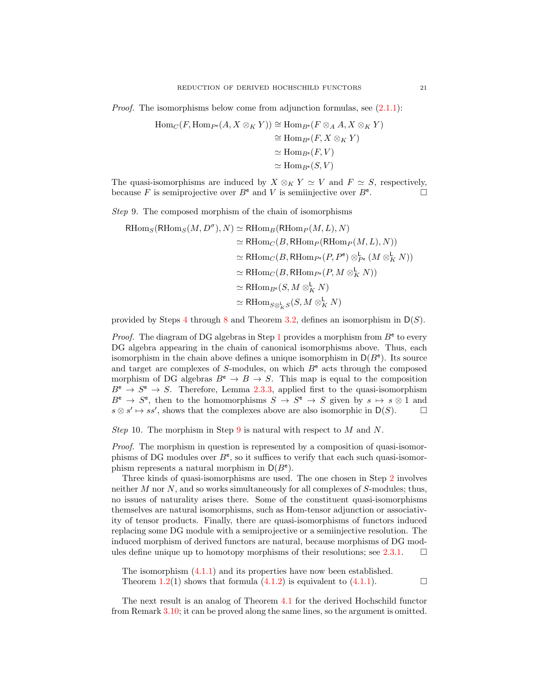*Proof.* The isomorphisms below come from adjunction formulas, see  $(2.1.1)$ :

$$
\begin{aligned} \text{Hom}_C(F, \text{Hom}_{P^e}(A, X \otimes_K Y)) &\cong \text{Hom}_{B^e}(F \otimes_A A, X \otimes_K Y) \\ &\cong \text{Hom}_{B^e}(F, X \otimes_K Y) \\ &\cong \text{Hom}_{B^e}(F, V) \\ &\cong \text{Hom}_{B^e}(S, V) \end{aligned}
$$

The quasi-isomorphisms are induced by  $X \otimes_K Y \simeq V$  and  $F \simeq S$ , respectively, because F is semiprojective over  $B^e$  and V is semiinjective over  $B^e$ . . — П<br>. — П

<span id="page-20-0"></span>Step 9. The composed morphism of the chain of isomorphisms

$$
\begin{aligned} \text{RHom}_S(\text{RHom}_S(M, D^{\sigma}), N) &\simeq \text{RHom}_B(\text{RHom}_P(M, L), N) \\ &\simeq \text{RHom}_C(B, \text{RHom}_P(\text{RHom}_P(M, L), N)) \\ &\simeq \text{RHom}_C(B, \text{RHom}_{P^e}(P, P^e) \otimes_{P^e}^{\mathsf{L}} (M \otimes_K^{\mathsf{L}} N)) \\ &\simeq \text{RHom}_C(B, \text{RHom}_{P^e}(P, M \otimes_K^{\mathsf{L}} N)) \\ &\simeq \text{RHom}_{B^e}(S, M \otimes_K^{\mathsf{L}} N) \\ &\simeq \text{RHom}_{S \otimes_K^{\mathsf{L}} S}(S, M \otimes_K^{\mathsf{L}} N) \end{aligned}
$$

provided by Steps [4](#page-17-2) through [8](#page-19-0) and Theorem [3.2,](#page-10-0) defines an isomorphism in  $D(S)$ .

*Proof.* The diagram of DG algebras in Step [1](#page-16-1) provides a morphism from  $B^e$  to every DG algebra appearing in the chain of canonical isomorphisms above. Thus, each isomorphism in the chain above defines a unique isomorphism in  $D(B^e)$ . Its source and target are complexes of S-modules, on which  $B^e$  acts through the composed morphism of DG algebras  $B^e \to B \to S$ . This map is equal to the composition  $B^e \to S^e \to S$ . Therefore, Lemma [2.3.3,](#page-8-3) applied first to the quasi-isomorphism  $B^e \to S^e$ , then to the homomorphisms  $S \to S^e \to S$  given by  $s \mapsto s \otimes 1$  and  $s \otimes s' \mapsto ss'$ , shows that the complexes above are also isomorphic in  $D(S)$ .  $\Box$ 

Step 10. The morphism in Step [9](#page-20-0) is natural with respect to  $M$  and  $N$ .

Proof. The morphism in question is represented by a composition of quasi-isomorphisms of DG modules over  $B^e$ , so it suffices to verify that each such quasi-isomorphism represents a natural morphism in  $D(B^e)$ .

Three kinds of quasi-isomorphisms are used. The one chosen in Step [2](#page-17-0) involves neither M nor N, and so works simultaneously for all complexes of S-modules; thus, no issues of naturality arises there. Some of the constituent quasi-isomorphisms themselves are natural isomorphisms, such as Hom-tensor adjunction or associativity of tensor products. Finally, there are quasi-isomorphisms of functors induced replacing some DG module with a semiprojective or a semiinjective resolution. The induced morphism of derived functors are natural, because morphisms of DG mod-ules define unique up to homotopy morphisms of their resolutions; see [2.3.1.](#page-8-0)  $\Box$ 

The isomorphism  $(4.1.1)$  and its properties have now been established. Theorem [1.2\(](#page-2-4)1) shows that formula  $(4.1.2)$  is equivalent to  $(4.1.1)$ .

The next result is an analog of Theorem [4.1](#page-15-1) for the derived Hochschild functor from Remark [3.10;](#page-14-0) it can be proved along the same lines, so the argument is omitted.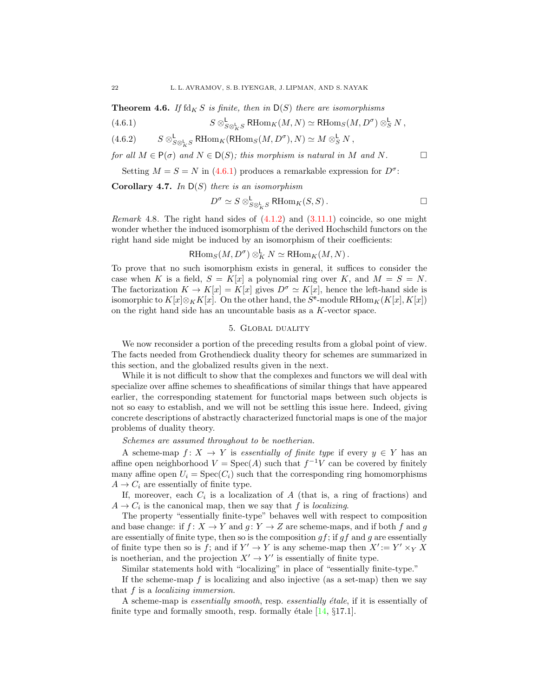**Theorem 4.6.** If  $\text{fd}_K S$  is finite, then in  $D(S)$  there are isomorphisms

<span id="page-21-1"></span>(4.6.1) 
$$
S \otimes_{S \otimes_{K}^{L} S}^{L} \text{RHom}_{K}(M, N) \simeq \text{RHom}_{S}(M, D^{\sigma}) \otimes_{S}^{L} N,
$$

(4.6.2) 
$$
S \otimes_{S \otimes_{K}^{L}}^{L} \text{RHom}_{K}(\text{RHom}_{S}(M, D^{\sigma}), N) \simeq M \otimes_{S}^{L} N,
$$

for all  $M \in P(\sigma)$  and  $N \in D(S)$ ; this morphism is natural in M and N.

Setting  $M = S = N$  in [\(4.6.1\)](#page-21-1) produces a remarkable expression for  $D^{\sigma}$ :

**Corollary 4.7.** In  $D(S)$  there is an isomorphism

$$
D^{\sigma} \simeq S \otimes_{S \otimes_{K}^{L} S}^{\mathsf{L}} \mathsf{RHom}_{K}(S, S) . \square
$$

*Remark* 4.8. The right hand sides of  $(4.1.2)$  and  $(3.11.1)$  coincide, so one might wonder whether the induced isomorphism of the derived Hochschild functors on the right hand side might be induced by an isomorphism of their coefficients:

 $\text{RHom}_S(M, D^{\sigma}) \otimes^{\mathsf{L}}_K N \simeq \text{RHom}_K(M, N)$ .

To prove that no such isomorphism exists in general, it suffices to consider the case when K is a field,  $S = K[x]$  a polynomial ring over K, and  $M = S = N$ . The factorization  $K \to K[x] = K[x]$  gives  $D^{\sigma} \simeq K[x]$ , hence the left-hand side is isomorphic to  $K[x] \otimes_K K[x]$ . On the other hand, the  $S^e$ -module RHom $_K(K[x], K[x])$ on the right hand side has an uncountable basis as a K-vector space.

## 5. Global duality

<span id="page-21-0"></span>We now reconsider a portion of the preceding results from a global point of view. The facts needed from Grothendieck duality theory for schemes are summarized in this section, and the globalized results given in the next.

While it is not difficult to show that the complexes and functors we will deal with specialize over affine schemes to sheafifications of similar things that have appeared earlier, the corresponding statement for functorial maps between such objects is not so easy to establish, and we will not be settling this issue here. Indeed, giving concrete descriptions of abstractly characterized functorial maps is one of the major problems of duality theory.

Schemes are assumed throughout to be noetherian.

A scheme-map  $f: X \to Y$  is essentially of finite type if every  $y \in Y$  has an affine open neighborhood  $V = \text{Spec}(A)$  such that  $f^{-1}V$  can be covered by finitely many affine open  $U_i = \text{Spec}(C_i)$  such that the corresponding ring homomorphisms  $A \rightarrow C_i$  are essentially of finite type.

If, moreover, each  $C_i$  is a localization of A (that is, a ring of fractions) and  $A \rightarrow C_i$  is the canonical map, then we say that f is localizing.

The property "essentially finite-type" behaves well with respect to composition and base change: if  $f: X \to Y$  and  $g: Y \to Z$  are scheme-maps, and if both f and g are essentially of finite type, then so is the composition  $gf$ ; if  $gf$  and  $g$  are essentially of finite type then so is f; and if  $Y' \to Y$  is any scheme-map then  $X' := Y' \times_Y X$ is noetherian, and the projection  $X' \to Y'$  is essentially of finite type.

Similar statements hold with "localizing" in place of "essentially finite-type."

If the scheme-map  $f$  is localizing and also injective (as a set-map) then we say that f is a localizing immersion.

A scheme-map is *essentially smooth*, resp. *essentially étale*, if it is essentially of finite type and formally smooth, resp. formally étale  $[14, 817.1]$ .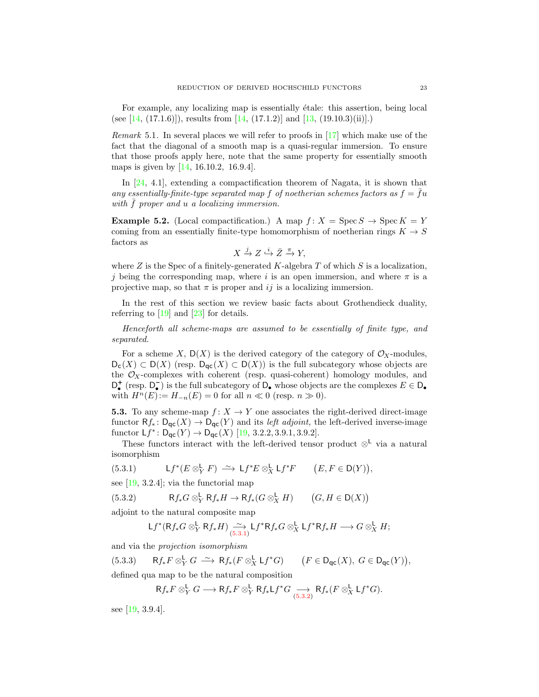For example, any localizing map is essentially etale: this assertion, being local (see [\[14,](#page-30-6) (17.1.6)]), results from [14, (17.1.2)] and [\[13,](#page-30-12) (19.10.3)(ii)].)

<span id="page-22-3"></span>*Remark* 5.1. In several places we will refer to proofs in  $\left[17\right]$  which make use of the fact that the diagonal of a smooth map is a quasi-regular immersion. To ensure that those proofs apply here, note that the same property for essentially smooth maps is given by [\[14,](#page-30-6) 16.10.2, 16.9.4].

In [\[24,](#page-31-10) 4.1], extending a compactification theorem of Nagata, it is shown that any essentially-finite-type separated map f of noetherian schemes factors as  $f = fu$ with  $\bar{f}$  proper and  $u$  a localizing immersion.

<span id="page-22-4"></span>**Example 5.2.** (Local compactification.) A map  $f: X = \text{Spec } S \to \text{Spec } K = Y$ coming from an essentially finite-type homomorphism of noetherian rings  $K \to S$ factors as

$$
X \xrightarrow{j} Z \xrightarrow{i} \bar{Z} \xrightarrow{\pi} Y,
$$

where  $Z$  is the Spec of a finitely-generated  $K$ -algebra  $T$  of which  $S$  is a localization, j being the corresponding map, where i is an open immersion, and where  $\pi$  is a projective map, so that  $\pi$  is proper and ij is a localizing immersion.

In the rest of this section we review basic facts about Grothendieck duality, referring to  $[19]$  and  $[23]$  for details.

Henceforth all scheme-maps are assumed to be essentially of finite type, and separated.

For a scheme X,  $D(X)$  is the derived category of the category of  $\mathcal{O}_X$ -modules,  $D_c(X) \subset D(X)$  (resp.  $D_{\text{qc}}(X) \subset D(X)$ ) is the full subcategory whose objects are the  $\mathcal{O}_X$ -complexes with coherent (resp. quasi-coherent) homology modules, and  $D_{\bullet}^{+}$  (resp.  $D_{\bullet}^{-}$ ) is the full subcategory of  $D_{\bullet}$  whose objects are the complexes  $E \in D_{\bullet}$ with  $H^n(E):= H_{-n}(E) = 0$  for all  $n \ll 0$  (resp.  $n \gg 0$ ).

**5.3.** To any scheme-map  $f: X \to Y$  one associates the right-derived direct-image functor  $Rf_*: D_{\text{qc}}(X) \to D_{\text{qc}}(Y)$  and its *left adjoint*, the left-derived inverse-image functor  $Lf^* \colon D_{\text{qc}}(Y) \to D_{\text{qc}}(X)$  [\[19,](#page-31-3) 3.2.2, 3.9.1, 3.9.2].

These functors interact with the left-derived tensor product  $\otimes^{\mathsf{L}}$  via a natural isomorphism

<span id="page-22-0"></span>(5.3.1) 
$$
Lf^*(E \otimes_Y^{\mathsf{L}} F) \xrightarrow{\sim} \mathsf{L} f^* E \otimes_X^{\mathsf{L}} \mathsf{L} f^* F \qquad (E, F \in \mathsf{D}(Y)),
$$

see  $[19, 3.2.4]$ ; via the functorial map

(5.3.2) 
$$
\mathsf{R}f_*G \otimes_Y^{\mathsf{L}} \mathsf{R}f_*H \to \mathsf{R}f_*(G \otimes_X^{\mathsf{L}} H) \qquad (G, H \in \mathsf{D}(X))
$$

adjoint to the natural composite map

<span id="page-22-1"></span>
$$
Lf^*(Rf_*G \otimes^L_Y Rf_*H) \xrightarrow[5.3.1]{} \mathcal{L}f^*Rf_*G \otimes^L_X \mathcal{L}f^*Rf_*H \longrightarrow G \otimes^L_X H;
$$

and via the projection isomorphism

(5.3.3) 
$$
Rf_*F \otimes_Y^{\mathsf{L}} G \xrightarrow{\sim} Rf_*(F \otimes_X^{\mathsf{L}} \mathsf{L}f^*G) \qquad (F \in \mathsf{D}_{\mathsf{qc}}(X), G \in \mathsf{D}_{\mathsf{qc}}(Y)),
$$

defined qua map to be the natural composition

<span id="page-22-2"></span>
$$
Rf_*F \otimes^{\mathbf{L}}_Y G \longrightarrow Rf_*F \otimes^{\mathbf{L}}_Y Rf_*\mathsf{L}f^*G \underset{(5.3.2)}{\longrightarrow} Rf_*(F \otimes^{\mathbf{L}}_X \mathsf{L}f^*G).
$$

see [\[19,](#page-31-3) 3.9.4].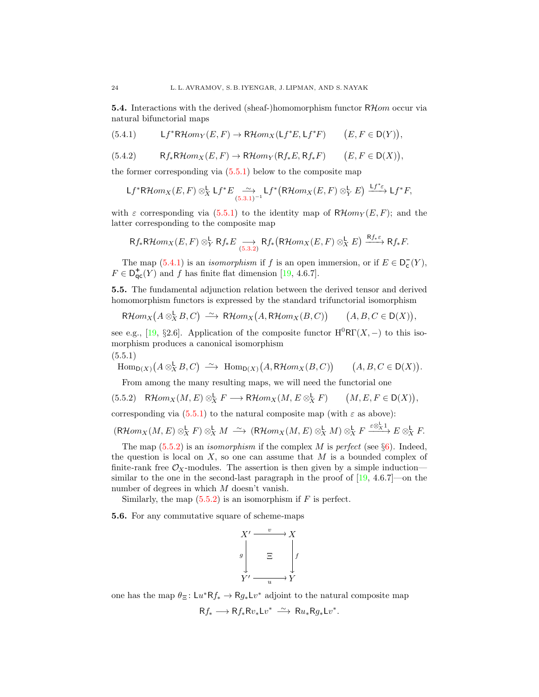**5.4.** Interactions with the derived (sheaf-)homomorphism functor  $R\mathcal{H}$ *om* occur via natural bifunctorial maps

<span id="page-23-1"></span>
$$
(5.4.1) \qquad \qquad \mathsf{L} f^* \mathsf{R} \mathcal{H} om_Y(E,F) \rightarrow \mathsf{R} \mathcal{H} om_X(\mathsf{L} f^*E,\mathsf{L} f^*F) \qquad \bigl(E,F\in \mathsf{D}(Y)\bigr),
$$

<span id="page-23-3"></span>
$$
(5.4.2) \tRf_*R\mathcal{H}om_X(E,F) \to R\mathcal{H}om_Y(Rf_*E,Rf_*F) \t(E,F \in D(X)),
$$

the former corresponding via [\(5.5.1\)](#page-23-0) below to the composite map

$$
\mathsf{L} f^*{\mathsf{R}\mathcal{H}\mathit{om}}_X(E,F)\otimes^{\mathsf{L}}_X \mathsf{L} f^*E \underset{(5.3.1)^{-1}}{\xrightarrow{\sim}} \mathsf{L} f^*\big({\mathsf{R}\mathcal{H}\mathit{om}}_X(E,F)\otimes^{\mathsf{L}}_Y E\big) \xrightarrow{\mathsf{L} f^* \varepsilon} \mathsf{L} f^*F,
$$

with  $\varepsilon$  corresponding via [\(5.5.1\)](#page-23-0) to the identity map of  $R\mathcal{H}om_Y(E, F)$ ; and the latter corresponding to the composite map

$$
\mathsf{R}f_*\mathsf{R}\mathcal{H}om_X(E,F)\otimes^{\mathsf{L}}_Y \mathsf{R}f_*E \underset{(5.3.2)}{\longrightarrow} \mathsf{R}f_*\big(\mathsf{R}\mathcal{H}om_X(E,F)\otimes^{\mathsf{L}}_X E\big) \overset{\mathsf{R}f_*\varepsilon}{\longrightarrow} \mathsf{R}f_*F.
$$

The map  $(5.4.1)$  is an *isomorphism* if f is an open immersion, or if  $E \in D_c^{-}(Y)$ ,  $F \in D_{\text{qc}}^+(Y)$  and f has finite flat dimension [\[19,](#page-31-3) 4.6.7].

<span id="page-23-4"></span>5.5. The fundamental adjunction relation between the derived tensor and derived homomorphism functors is expressed by the standard trifunctorial isomorphism

$$
\mathsf{R}\mathcal{H}om_X(A\otimes_X^{\mathsf{L}} B,C)\ \xrightarrow{\sim}\ \mathsf{R}\mathcal{H}om_X\big(A,\mathsf{R}\mathcal{H}om_X(B,C)\big)\qquad \big(A,B,C\in \mathsf{D}(X)\big),
$$

see e.g., [\[19,](#page-31-3) §2.6]. Application of the composite functor  $H^{0}R\Gamma(X, -)$  to this isomorphism produces a canonical isomorphism  $(5.5.1)$ 

<span id="page-23-0"></span>
$$
\mathrm{Hom}_{\mathsf{D}(X)}\big(A\otimes^{\mathsf{L}}_X B,C\big)\;\overset{\sim}{\longrightarrow}\; \mathrm{Hom}_{\mathsf{D}(X)}\big(A,\mathsf{R}\mathcal{H}om_X(B,C)\big) \qquad \big(A,B,C\in\mathsf{D}(X)\big).
$$

<span id="page-23-2"></span>From among the many resulting maps, we will need the functorial one

$$
(5.5.2) \quad \mathsf{R}\mathcal{H}om_X(M,E) \otimes_X^{\mathsf{L}} F \longrightarrow \mathsf{R}\mathcal{H}om_X(M,E \otimes_X^{\mathsf{L}} F) \qquad \big(M,E,F \in \mathsf{D}(X)\big),
$$

corresponding via  $(5.5.1)$  to the natural composite map (with  $\varepsilon$  as above):

$$
(\mathsf{R}\mathcal{H}om_X(M,E)\otimes^{\mathsf{L}}_X F)\otimes^{\mathsf{L}}_X M\ \xrightarrow{\sim} (\mathsf{R}\mathcal{H}om_X(M,E)\otimes^{\mathsf{L}}_X M)\otimes^{\mathsf{L}}_X F\xrightarrow{\varepsilon\otimes^{\mathsf{L}}_X 1} E\otimes^{\mathsf{L}}_X F.
$$

The map  $(5.5.2)$  is an *isomorphism* if the complex M is perfect (see  $\S6$ ). Indeed, the question is local on  $X$ , so one can assume that  $M$  is a bounded complex of finite-rank free  $\mathcal{O}_X$ -modules. The assertion is then given by a simple induction similar to the one in the second-last paragraph in the proof of  $[19, 4.6.7]$ —on the number of degrees in which M doesn't vanish.

Similarly, the map  $(5.5.2)$  is an isomorphism if F is perfect.

5.6. For any commutative square of scheme-maps

$$
X' \xrightarrow{v} X
$$
  
\ng  
\n
$$
\Xi \qquad f
$$
  
\n
$$
Y' \xrightarrow{u} Y
$$

one has the map  $\theta_{\Xi} : Lu^* R f_* \to R g_* Lv^*$  adjoint to the natural composite map  $Rf_* \longrightarrow Rf_*Rv_*Lv^* \longrightarrow Ru_*Rg_*Lv^*.$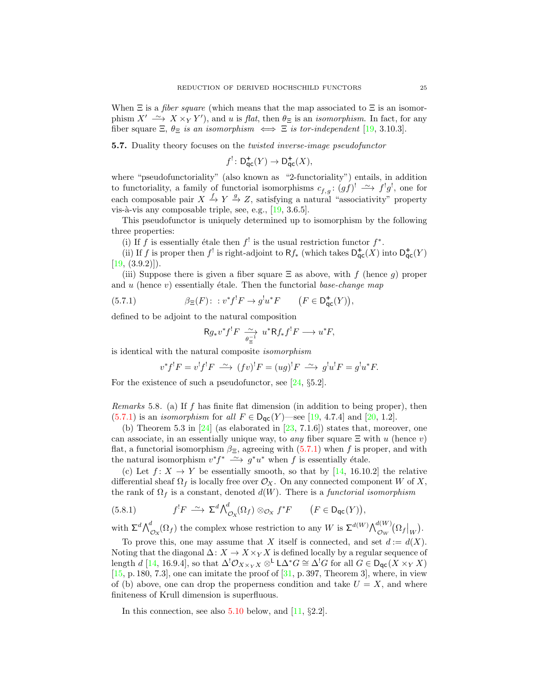When  $\Xi$  is a *fiber square* (which means that the map associated to  $\Xi$  is an isomorphism  $X' \longrightarrow X \times_Y Y'$ , and u is flat, then  $\theta_{\Xi}$  is an *isomorphism*. In fact, for any fiber square  $\Xi$ ,  $\theta_{\Xi}$  is an isomorphism  $\iff \Xi$  is tor-independent [\[19,](#page-31-3) 3.10.3].

<span id="page-24-2"></span>5.7. Duality theory focuses on the twisted inverse-image pseudofunctor

$$
f^{!} \colon \mathsf{D}_{\mathsf{qc}}^{+}(Y) \to \mathsf{D}_{\mathsf{qc}}^{+}(X),
$$

where "pseudofunctoriality" (also known as "2-functoriality") entails, in addition to functoriality, a family of functorial isomorphisms  $c_{f,g}: (gf)^! \longrightarrow f^!g^!,$  one for each composable pair  $X \stackrel{f}{\rightarrow} Y \stackrel{g}{\rightarrow} Z$ , satisfying a natural "associativity" property vis-à-vis any composable triple, see, e.g.,  $[19, 3.6.5]$ .

This pseudofunctor is uniquely determined up to isomorphism by the following three properties:

(i) If f is essentially étale then  $f^!$  is the usual restriction functor  $f^*$ .

(ii) If f is proper then f<sup>!</sup> is right-adjoint to Rf<sub>\*</sub> (which takes  $D_{\text{qc}}^{+}(X)$  into  $D_{\text{qc}}^{+}(Y)$  $[19, (3.9.2)]$  $[19, (3.9.2)]$ .

(iii) Suppose there is given a fiber square  $\Xi$  as above, with f (hence g) proper and u (hence v) essentially étale. Then the functorial base-change map

(5.7.1) 
$$
\beta_{\Xi}(F): : v^*f^!F \to g^!u^*F \qquad (F \in \mathsf{D}^+_{\mathsf{qc}}(Y)),
$$

defined to be adjoint to the natural composition

<span id="page-24-0"></span>
$$
Rg_* v^* f^! F \xrightarrow[\theta_{\Xi}^{-1} u^* Rf_* f^! F \longrightarrow u^* F,
$$

is identical with the natural composite isomorphism

$$
v^*f^!F = v^!f^!F \xrightarrow{\sim} (fv)^!F = (ug)^!F \xrightarrow{\sim} g^!u^!F = g^!u^*F.
$$

For the existence of such a pseudofunctor, see [\[24,](#page-31-10) §5.2].

<span id="page-24-1"></span>Remarks 5.8. (a) If f has finite flat dimension (in addition to being proper), then  $(5.7.1)$  is an *isomorphism* for all  $F \in D_{\text{qc}}(Y)$ —see [\[19,](#page-31-3) 4.7.4] and [\[20,](#page-31-12) 1.2].

(b) Theorem 5.3 in  $[24]$  (as elaborated in  $[23, 7.1.6]$ ) states that, moreover, one can associate, in an essentially unique way, to any fiber square  $\Xi$  with u (hence v) flat, a functorial isomorphism  $\beta_{\Xi}$ , agreeing with [\(5.7.1\)](#page-24-0) when f is proper, and with the natural isomorphism  $v^*f^* \longrightarrow g^*u^*$  when f is essentially étale.

(c) Let  $f: X \to Y$  be essentially smooth, so that by [\[14,](#page-30-6) 16.10.2] the relative differential sheaf  $\Omega_f$  is locally free over  $\mathcal{O}_X$ . On any connected component W of X, the rank of  $\Omega_f$  is a constant, denoted  $d(W)$ . There is a *functorial isomorphism* 

<span id="page-24-3"></span>(5.8.1) 
$$
f^!F \stackrel{\sim}{\longrightarrow} \Sigma^d \bigwedge_{\mathcal{O}_X}^d (\Omega_f) \otimes_{\mathcal{O}_X} f^*F \qquad (F \in \mathsf{D}_{\mathsf{qc}}(Y)),
$$

with  $\Sigma^d \bigwedge^d_{\mathcal{O}_X}(\Omega_f)$  the complex whose restriction to any W is  $\Sigma^{d(W)} \bigwedge^{d(W)}_{\mathcal{O}_W}(\Omega_f|_W)$ .

To prove this, one may assume that X itself is connected, and set  $d := d(X)$ . Noting that the diagonal  $\Delta: X \to X \times_Y X$  is defined locally by a regular sequence of length d [\[14,](#page-30-6) 16.9.4], so that  $\Delta^!\mathcal{O}_{X\times_Y X} \otimes^{\mathsf{L}} \mathsf{L}\Delta^* G \cong \Delta^! G$  for all  $G \in \mathsf{D}_{\mathsf{qc}}(X \times_Y X)$  $[15, p. 180, 7.3]$  $[15, p. 180, 7.3]$ , one can imitate the proof of  $[31, p. 397,$  Theorem 3, where, in view of (b) above, one can drop the properness condition and take  $U = X$ , and where finiteness of Krull dimension is superfluous.

In this connection, see also [5.10](#page-25-0) below, and [\[11,](#page-30-5) §2.2].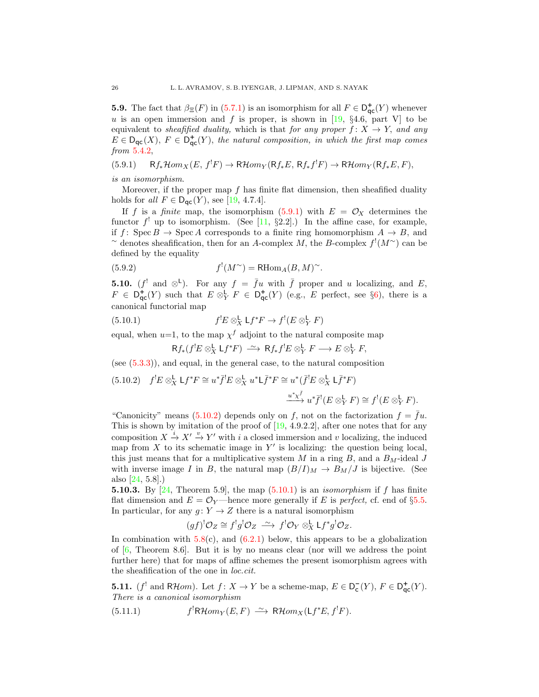<span id="page-25-6"></span>**5.9.** The fact that  $\beta_{\Xi}(F)$  in [\(5.7.1\)](#page-24-0) is an isomorphism for all  $F \in D_{\text{qc}}^+(Y)$  whenever  $u$  is an open immersion and  $f$  is proper, is shown in [\[19,](#page-31-3) §4.6, part V] to be equivalent to sheafified duality, which is that for any proper  $f: X \rightarrow Y$ , and any  $E \in D_{\textsf{qc}}(X), F \in D_{\textsf{qc}}^+(Y)$ , the natural composition, in which the first map comes from [5.4.2,](#page-23-3)

<span id="page-25-1"></span>(5.9.1) 
$$
Rf_*\mathcal{H}om_X(E, f^!F) \to \mathsf{R}\mathcal{H}om_Y(\mathsf{R}f_*E, \mathsf{R}f_*f^!F) \to \mathsf{R}\mathcal{H}om_Y(\mathsf{R}f_*E, F),
$$

is an isomorphism.

Moreover, if the proper map  $f$  has finite flat dimension, then sheafified duality holds for all  $F \in D_{\text{qc}}(Y)$ , see [\[19,](#page-31-3) 4.7.4].

If f is a finite map, the isomorphism  $(5.9.1)$  with  $E = \mathcal{O}_X$  determines the functor  $f'$  up to isomorphism. (See [\[11,](#page-30-5) §2.2].) In the affine case, for example, if f: Spec  $B \to \text{Spec } A$  corresponds to a finite ring homomorphism  $A \to B$ , and  $\sim$  denotes sheafification, then for an A-complex M, the B-complex  $f'(M\gamma)$  can be defined by the equality

(5.9.2) 
$$
f'(M^{\sim}) = \text{RHom}_A(B, M)^{\sim}.
$$

<span id="page-25-0"></span>**5.10.** ( $f^!$  and  $\otimes^{\mathsf{L}}$ ). For any  $f = \bar{f}u$  with  $\bar{f}$  proper and u localizing, and E,  $F \in D^+_{\text{qc}}(Y)$  such that  $E \otimes^{\mathbf{L}}_Y F \in D^+_{\text{qc}}(Y)$  (e.g., E perfect, see §[6\)](#page-26-0), there is a canonical functorial map

(5.10.1) 
$$
f^!E \otimes_X^{\mathsf{L}} \mathsf{L} f^*F \to f^! (E \otimes_Y^{\mathsf{L}} F)
$$

equal, when  $u=1$ , to the map  $\chi^f$  adjoint to the natural composite map

<span id="page-25-5"></span><span id="page-25-3"></span>
$$
\mathsf{R} f_*(f^! E \otimes^{\mathsf{L}}_X \mathsf{L} f^* F) \xrightarrow{\sim} \mathsf{R} f_* f^! E \otimes^{\mathsf{L}}_Y F \longrightarrow E \otimes^{\mathsf{L}}_Y F,
$$

(see  $(5.3.3)$ ), and equal, in the general case, to the natural composition

<span id="page-25-2"></span>(5.10.2) 
$$
f^{!}E \otimes_X^{\mathbf{L}} \mathsf{L}f^*F \cong u^*\bar{f}^{!}E \otimes_X^{\mathbf{L}} u^* \mathsf{L}\bar{f}^*F \cong u^*(\bar{f}^{!}E \otimes_X^{\mathbf{L}} \mathsf{L}\bar{f}^*F)
$$

$$
\xrightarrow{u^*x^{\bar{f}}}\ u^*\bar{f}^{!}(E \otimes_Y^{\mathbf{L}} F) \cong f^{!}(E \otimes_Y^{\mathbf{L}} F).
$$

"Canonicity" means [\(5.10.2\)](#page-25-2) depends only on f, not on the factorization  $f = \bar{f}u$ . This is shown by imitation of the proof of  $[19, 4.9.2.2]$ , after one notes that for any composition  $X \stackrel{i}{\rightarrow} X' \stackrel{v}{\rightarrow} Y'$  with i a closed immersion and v localizing, the induced map from  $X$  to its schematic image in  $Y'$  is localizing: the question being local, this just means that for a multiplicative system  $M$  in a ring  $B$ , and a  $B_M$ -ideal  $J$ with inverse image I in B, the natural map  $(B/I)_M \to B_M/J$  is bijective. (See also [\[24,](#page-31-10) 5.8].)

**5.10.3.** By [\[24,](#page-31-10) Theorem 5.9], the map  $(5.10.1)$  is an *isomorphism* if f has finite flat dimension and  $E = \mathcal{O}_Y$ —hence more generally if E is perfect, cf. end of §[5.5.](#page-23-4) In particular, for any  $g: Y \to Z$  there is a natural isomorphism

$$
(gf)^!{\mathcal O}_Z\cong f^!g^!{\mathcal O}_Z\ \stackrel{\sim}{\longrightarrow}\ f^!{\mathcal O}_Y\otimes^{\mathsf{L}}_X\mathsf{L} f^*g^!{\mathcal O}_Z.
$$

In combination with  $5.8(c)$  $5.8(c)$ , and  $(6.2.1)$  below, this appears to be a globalization of [\[6,](#page-30-13) Theorem 8.6]. But it is by no means clear (nor will we address the point further here) that for maps of affine schemes the present isomorphism agrees with the sheafification of the one in loc.cit.

**5.11.**  $(f'$  and RHom). Let  $f: X \to Y$  be a scheme-map,  $E \in D_{\mathsf{c}}^{-}(Y), F \in D_{\mathsf{qc}}^{+}(Y)$ . There is a canonical isomorphism

<span id="page-25-4"></span>(5.11.1) 
$$
f^{!}R\mathcal{H}om_{Y}(E,F) \stackrel{\sim}{\longrightarrow} R\mathcal{H}om_{X}(Lf^{*}E, f^{!}F).
$$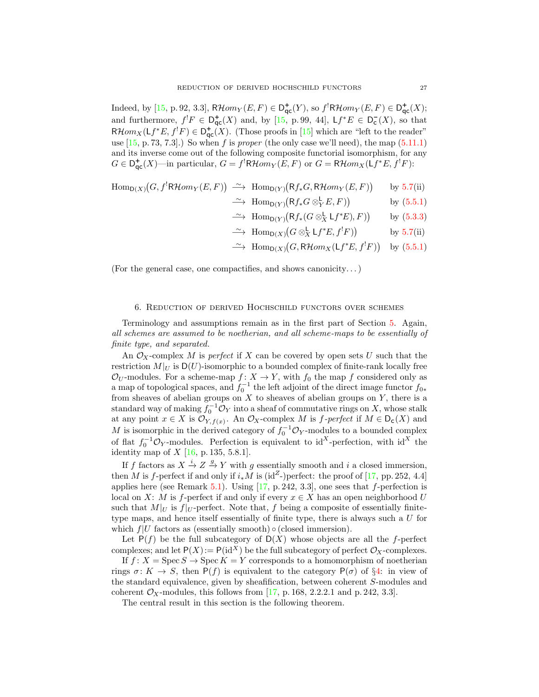Indeed, by [\[15,](#page-30-4) p. 92, 3.3],  $R\mathcal{H}om_Y(E,F) \in D^+_{\text{qc}}(Y)$ , so  $f^!R\mathcal{H}om_Y(E,F) \in D^+_{\text{qc}}(X)$ ; and furthermore,  $f^!F \in D^+_{\text{qc}}(X)$  and, by [\[15,](#page-30-4) p. 99, 44],  $Lf^*E \in D^-_{\text{c}}(X)$ , so that  $R\mathcal{H}om_X(\mathsf{L}f^*E,f^!F)\in D^+_{\mathsf{qc}}(X)$ . (Those proofs in [\[15\]](#page-30-4) which are "left to the reader" use  $[15, p. 73, 7.3]$ .) So when f is proper (the only case we'll need), the map  $(5.11.1)$ and its inverse come out of the following composite functorial isomorphism, for any  $G \in D^+_{\mathsf{qc}}(X)$ —in particular,  $G = f^! \mathsf{R}\mathcal{H}om_Y(E, F)$  or  $G = \mathsf{R}\mathcal{H}om_X(\mathsf{L}f^*E, f^!F)$ :

$$
\text{Hom}_{\text{D}(X)}(G, f^{!}R\mathcal{H}om_{Y}(E, F)) \xrightarrow{\sim} \text{Hom}_{\text{D}(Y)}(\text{Rf}_{*}G, \text{R}\mathcal{H}om_{Y}(E, F)) \quad \text{by 5.7(ii)}
$$

- $\longrightarrow \text{Hom}_{\mathsf{D}(Y)}(\mathsf{R}f_*G \otimes^{\mathsf{L}}_Y E, F)$ by [\(5.5.1\)](#page-23-0)
- $\longrightarrow \text{Hom}_{\mathsf{D}(Y)}(\mathsf{R}f_*(G \otimes_X^{\mathsf{L}} \mathsf{L}f^*E), F)$ by [\(5.3.3\)](#page-22-2)
- $\longrightarrow \text{Hom}_{\mathsf{D}(X)}(G \otimes_X^{\mathsf{L}} \mathsf{L}f^*E, f^!F)$ by  $5.7(ii)$  $5.7(ii)$
- $\longrightarrow \text{Hom}_{D(X)}(G, R\mathcal{H}om_X(\mathsf{L}f^*E, f^!F))$  by [\(5.5.1\)](#page-23-0)

(For the general case, one compactifies, and shows canonicity. . . )

## 6. Reduction of derived Hochschild functors over schemes

<span id="page-26-0"></span>Terminology and assumptions remain as in the first part of Section [5.](#page-21-0) Again, all schemes are assumed to be noetherian, and all scheme-maps to be essentially of finite type, and separated.

An  $\mathcal{O}_X$ -complex M is perfect if X can be covered by open sets U such that the restriction  $M|_U$  is  $D(U)$ -isomorphic to a bounded complex of finite-rank locally free  $\mathcal{O}_U$ -modules. For a scheme-map  $f: X \to Y$ , with  $f_0$  the map f considered only as a map of topological spaces, and  $f_0^{-1}$  the left adjoint of the direct image functor  $f_{0*}$ from sheaves of abelian groups on  $X$  to sheaves of abelian groups on  $Y$ , there is a standard way of making  $f_0^{-1} \mathcal{O}_Y$  into a sheaf of commutative rings on X, whose stalk at any point  $x \in X$  is  $\mathcal{O}_{Y, f(x)}$ . An  $\mathcal{O}_X$ -complex M is f-perfect if  $M \in \mathsf{D}_c(X)$  and M is isomorphic in the derived category of  $f_0^{-1} \mathcal{O}_Y$ -modules to a bounded complex of flat  $f_0^{-1} \mathcal{O}_Y$ -modules. Perfection is equivalent to id<sup>X</sup>-perfection, with id<sup>X</sup> the identity map of  $X$  [\[16,](#page-30-14) p. 135, 5.8.1].

If f factors as  $X \xrightarrow{i} Z \xrightarrow{g} Y$  with g essentially smooth and i a closed immersion, then M is f-perfect if and only if  $i_*M$  is (id<sup>Z</sup>-)perfect: the proof of [\[17,](#page-31-9) pp. 252, 4.4] applies here (see Remark [5.1\)](#page-22-3). Using  $[17, p. 242, 3.3]$ , one sees that f-perfection is local on X: M is f-perfect if and only if every  $x \in X$  has an open neighborhood U such that  $M|_U$  is  $f|_U$ -perfect. Note that, f being a composite of essentially finitetype maps, and hence itself essentially of finite type, there is always such a U for which  $f|U$  factors as (essentially smooth)  $\circ$  (closed immersion).

Let  $P(f)$  be the full subcategory of  $D(X)$  whose objects are all the f-perfect complexes; and let  $P(X) := P(\text{id}^X)$  be the full subcategory of perfect  $\mathcal{O}_X$ -complexes.

If  $f: X = \text{Spec } S \to \text{Spec } K = Y$  corresponds to a homomorphism of noetherian rings  $\sigma: K \to S$ , then  $P(f)$  is equivalent to the category  $P(\sigma)$  of §[4:](#page-15-0) in view of the standard equivalence, given by sheafification, between coherent S-modules and coherent  $\mathcal{O}_X$ -modules, this follows from [\[17,](#page-31-9) p. 168, 2.2.2.1 and p. 242, 3.3].

The central result in this section is the following theorem.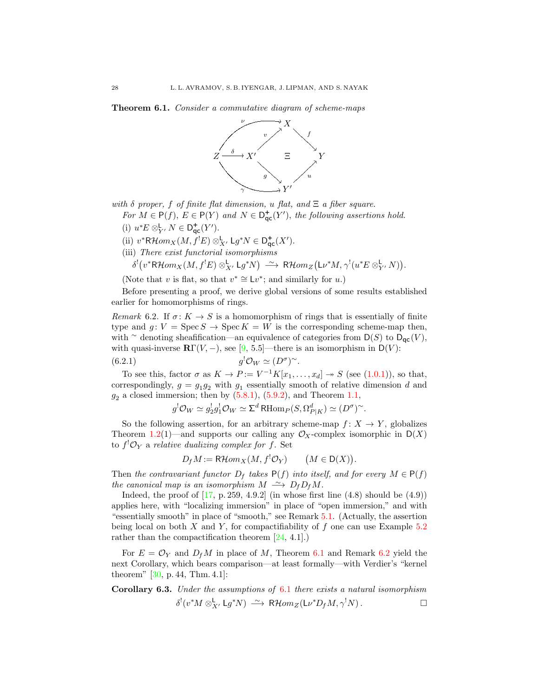<span id="page-27-1"></span>Theorem 6.1. Consider a commutative diagram of scheme-maps

![](_page_27_Figure_2.jpeg)

with  $\delta$  proper, f of finite flat dimension, u flat, and  $\Xi$  a fiber square.

- For  $M \in \mathsf{P}(f)$ ,  $E \in \mathsf{P}(Y)$  and  $N \in \mathsf{D}_{\mathsf{qc}}^+(Y')$ , the following assertions hold.
- (i)  $u^*E \otimes^{\mathsf{L}}_{Y'} N \in \mathsf{D}^+_{\mathsf{qc}}(Y').$
- (ii)  $v^*{\sf R}\mathcal{H}om_X(M, f^!E)\otimes^{\sf L}_X$ ,  ${\sf L}g^*N\in {\sf D}_{\sf qc}^+(X').$
- (iii) There exist functorial isomorphisms

$$
\delta^! \big( v^* \mathsf{R}\mathcal{H}om_X(M,f^!E) \otimes^{\mathsf{L}}_{X'} \mathsf{L} g^* N \big) \xrightarrow{\sim} \mathsf{R}\mathcal{H}om_Z \big( \mathsf{L} \nu^* M, \gamma^! (u^*E \otimes^{\mathsf{L}}_{Y'} N) \big).
$$

(Note that v is flat, so that  $v^* \cong \mathsf{L} v^*$ ; and similarly for u.)

Before presenting a proof, we derive global versions of some results established earlier for homomorphisms of rings.

<span id="page-27-2"></span>Remark 6.2. If  $\sigma: K \to S$  is a homomorphism of rings that is essentially of finite type and  $q: V = \text{Spec} S \to \text{Spec} K = W$  is the corresponding scheme-map then, with ∼ denoting sheafification—an equivalence of categories from  $D(S)$  to  $D_{\mathsf{qc}}(V)$ , with quasi-inverse  $\mathbb{R}\Gamma(V, -)$ , see [\[9,](#page-30-15) 5.5]—there is an isomorphism in D(V):

(6.2.1) 
$$
g^{!}\mathcal{O}_{W} \simeq (D^{\sigma})^{\sim}.
$$

To see this, factor  $\sigma$  as  $K \to P := V^{-1}K[x_1,\ldots,x_d] \to S$  (see [\(1.0.1\)](#page-2-3)), so that, correspondingly,  $g = g_1 g_2$  with  $g_1$  essentially smooth of relative dimension d and  $g_2$  a closed immersion; then by  $(5.8.1)$ ,  $(5.9.2)$ , and Theorem [1.1,](#page-2-2)

<span id="page-27-0"></span>
$$
g^{!}\mathcal{O}_W \simeq g_2^{!}g_1^{!}\mathcal{O}_W \simeq \Sigma^d \operatorname{RHom}_P(S, \Omega_{P|K}^d) \simeq (D^{\sigma})^{\sim}.
$$

So the following assertion, for an arbitrary scheme-map  $f: X \to Y$ , globalizes Theorem [1.2\(](#page-2-4)1)—and supports our calling any  $\mathcal{O}_X$ -complex isomorphic in D(X) to  $f^! \mathcal{O}_Y$  a relative dualizing complex for f. Set

$$
D_f M := \mathsf{R}\mathcal{H}om_X(M, f^! \mathcal{O}_Y) \qquad (M \in \mathsf{D}(X)).
$$

Then the contravariant functor  $D_f$  takes  $P(f)$  into itself, and for every  $M \in P(f)$ the canonical map is an isomorphism  $M \stackrel{\sim}{\longrightarrow} D_f D_f M$ .

Indeed, the proof of  $[17, p. 259, 4.9.2]$  (in whose first line  $(4.8)$  should be  $(4.9)$ ) applies here, with "localizing immersion" in place of "open immersion," and with "essentially smooth" in place of "smooth," see Remark [5.1.](#page-22-3) (Actually, the assertion being local on both  $X$  and  $Y$ , for compactifiability of  $f$  one can use Example [5.2](#page-22-4) rather than the compactification theorem  $[24, 4.1]$ .)

For  $E = \mathcal{O}_Y$  and  $D_f M$  in place of M, Theorem [6.1](#page-27-1) and Remark [6.2](#page-27-2) yield the next Corollary, which bears comparison—at least formally—with Verdier's "kernel theorem" [\[30,](#page-31-14) p. 44, Thm. 4.1]:

# Corollary 6.3. Under the assumptions of [6.1](#page-27-1) there exists a natural isomorphism  $\delta^!(v^*M \otimes^{\mathsf{L}}_{X'} \mathsf{L}g^*N) \stackrel{\sim}{\longrightarrow} \mathsf{R}\mathcal{H}om_Z(\mathsf{L}\nu^*D_fM, \gamma^!N).$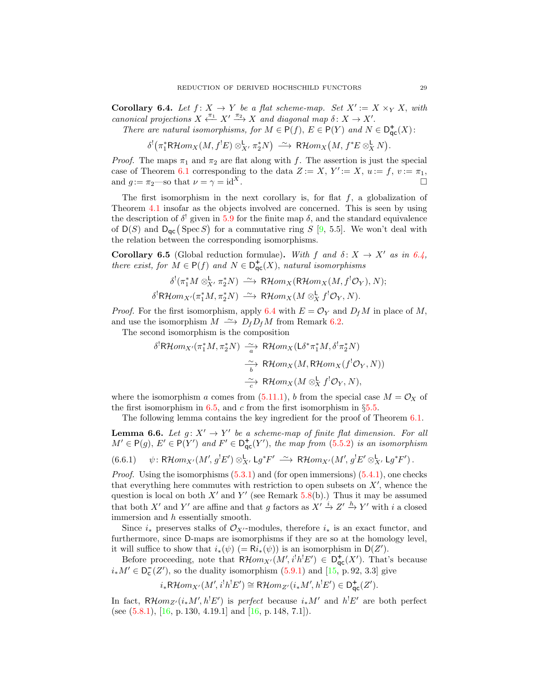<span id="page-28-1"></span>**Corollary 6.4.** Let  $f: X \to Y$  be a flat scheme-map. Set  $X' := X \times_Y X$ , with canonical projections  $X \xleftarrow{\pi_1} X' \xrightarrow{\pi_2} X$  and diagonal map  $\delta: X \to X'$ .

There are natural isomorphisms, for  $M \in P(f)$ ,  $E \in P(Y)$  and  $N \in D_{\text{qc}}^{+}(X)$ :

 $\delta^!(\pi_1^*{\mathsf R}{\mathcal H}om_X(M,f^!E)\otimes^{\mathsf L}_{{X}'}\pi_2^*N)\;\stackrel{\sim}{\longrightarrow}\;{\mathsf R}{\mathcal H}om_X\big(M,f^*E\otimes^{\mathsf L}_XN\big).$ 

*Proof.* The maps  $\pi_1$  and  $\pi_2$  are flat along with f. The assertion is just the special case of Theorem [6.1](#page-27-1) corresponding to the data  $Z := X, Y' := X, u := f, v := \pi_1$ , and  $g := \pi_2$ —so that  $\nu = \gamma = id^X$ .

The first isomorphism in the next corollary is, for flat  $f$ , a globalization of Theorem [4.1](#page-15-1) insofar as the objects involved are concerned. This is seen by using the description of  $\delta^!$  given in [5.9](#page-25-6) for the finite map  $\delta$ , and the standard equivalence of  $D(S)$  and  $D_{\mathsf{qc}}(\text{Spec } S)$  for a commutative ring S [\[9,](#page-30-15) 5.5]. We won't deal with the relation between the corresponding isomorphisms.

<span id="page-28-0"></span>**Corollary 6.5** (Global reduction formulae). With f and  $\delta: X \to X'$  as in [6.4,](#page-28-1) there exist, for  $\tilde{M} \in \mathsf{P}(f)$  and  $N \in \mathsf{D}^+_{\mathsf{qc}}(X)$ , natural isomorphisms

$$
\delta^{!}(\pi_{1}^{*}M \otimes_{X'}^{L} \pi_{2}^{*}N) \xrightarrow{\sim} \mathsf{R}\mathcal{H}om_{X}(\mathsf{R}\mathcal{H}om_{X}(M, f^{!}\mathcal{O}_{Y}), N);
$$
  

$$
\delta^{!}\mathsf{R}\mathcal{H}om_{X'}(\pi_{1}^{*}M, \pi_{2}^{*}N) \xrightarrow{\sim} \mathsf{R}\mathcal{H}om_{X}(M \otimes_{X}^{L} f^{!}\mathcal{O}_{Y}, N).
$$

*Proof.* For the first isomorphism, apply [6.4](#page-28-1) with  $E = \mathcal{O}_Y$  and  $D_f M$  in place of M, and use the isomorphism  $M \rightharpoonup D_f D_f M$  from Remark [6.2.](#page-27-2)

The second isomorphism is the composition

$$
\delta^! \text{R}\mathcal{H}om_{X'}(\pi_1^*M, \pi_2^*N) \xrightarrow[\alpha]{\sim} \text{R}\mathcal{H}om_X(\text{L}\delta^*\pi_1^*M, \delta^!\pi_2^*N)
$$

$$
\xrightarrow[\beta]{\sim} \text{R}\mathcal{H}om_X(M, \text{R}\mathcal{H}om_X(f^!O_Y, N))
$$

$$
\xrightarrow[\alpha]{\sim} \text{R}\mathcal{H}om_X(M \otimes_X^{\text{L}} f^!O_Y, N),
$$

where the isomorphism a comes from [\(5.11.1\)](#page-25-4), b from the special case  $M = \mathcal{O}_X$  of the first isomorphism in [6.5,](#page-28-0) and c from the first isomorphism in  $\S 5.5$ .

The following lemma contains the key ingredient for the proof of Theorem [6.1.](#page-27-1)

<span id="page-28-2"></span>**Lemma 6.6.** Let  $g: X' \to Y'$  be a scheme-map of finite flat dimension. For all  $M' \in \mathsf{P}(g), E' \in \mathsf{P}(Y')$  and  $F' \in \mathsf{D}^+_{\mathsf{qc}}(Y')$ , the map from [\(5.5.2\)](#page-23-2) is an isomorphism

<span id="page-28-3"></span>
$$
(6.6.1) \quad \psi \colon \mathsf{R}\mathcal{H}\mathit{om}_{X'}(M', g^!E') \otimes^{\mathsf{L}}_{X'} \mathsf{L}g^*F' \xrightarrow{\sim} \mathsf{R}\mathcal{H}\mathit{om}_{X'}(M', g^!E' \otimes^{\mathsf{L}}_{X'} \mathsf{L}g^*F').
$$

*Proof.* Using the isomorphisms  $(5.3.1)$  and (for open immersions)  $(5.4.1)$ , one checks that everything here commutes with restriction to open subsets on  $X'$ , whence the question is local on both  $X'$  and  $Y'$  (see Remark [5.8\(](#page-24-1)b).) Thus it may be assumed that both X' and Y' are affine and that g factors as  $X' \stackrel{i}{\to} Z' \stackrel{h}{\to} Y'$  with i a closed immersion and h essentially smooth.

Since  $i_*$  preserves stalks of  $\mathcal{O}_{X'}$ -modules, therefore  $i_*$  is an exact functor, and furthermore, since D-maps are isomorphisms if they are so at the homology level, it will suffice to show that  $i_*(\psi)$  (=  $\mathsf{R}i_*(\psi)$ ) is an isomorphism in  $\mathsf{D}(Z')$ .

Before proceeding, note that  $R\mathcal{H}om_{X'}(M', i^!h^!E') \in D_{\text{qc}}^+(X')$ . That's because  $i_*M' \in \mathsf{D}_{\mathsf{c}}^-(Z')$ , so the duality isomorphism  $(5.9.1)$  and  $[15, p. 92, 3.3]$  give

$$
i_*\mathsf{R}\mathcal{H}om_{X'}(M',i^!h^!E')\cong \mathsf{R}\mathcal{H}om_{Z'}(i_*M',h^!E')\in\mathsf{D}^+_{\mathsf{qc}}(Z').
$$

In fact,  $R\mathcal{H}om_{Z'}(i_*M',h^!E')$  is perfect because  $i_*M'$  and  $h^!E'$  are both perfect (see  $(5.8.1)$ ,  $[16, p. 130, 4.19.1]$  and  $[16, p. 148, 7.1]$ ).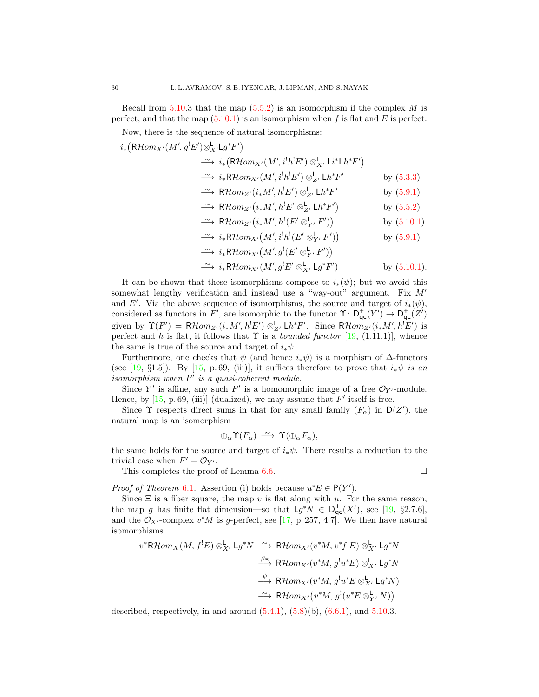Recall from [5.10.](#page-25-2)3 that the map  $(5.5.2)$  is an isomorphism if the complex M is perfect; and that the map  $(5.10.1)$  is an isomorphism when f is flat and E is perfect.

Now, there is the sequence of natural isomorphisms:

 $i_*\big({\mathsf{R}\mathcal{H}} om_{X'}(M',g^!E'){\otimes}^{\mathsf{L}}_{{X'}}{\mathsf{L}} g^*F'\big)$ 

$$
\begin{aligned}\n&\stackrel{\sim}{\longrightarrow} i_*\big(\mathsf{R}\mathcal{H}om_{X'}(M',i^!h^!E') \otimes^{\mathsf{L}}_{X'} \mathsf{Li}^* \mathsf{L}h^*F'\big) \\
&\stackrel{\sim}{\longrightarrow} i_*\mathsf{R}\mathcal{H}om_{X'}(M',i^!h^!E') \otimes^{\mathsf{L}}_{Z'} \mathsf{L}h^*F' & \text{by (5.3.3)} \\
&\stackrel{\sim}{\longrightarrow} \mathsf{R}\mathcal{H}om_{Z'}(i_*M',h^!E') \otimes^{\mathsf{L}}_{Z'} \mathsf{L}h^*F' & \text{by (5.9.1)} \\
&\stackrel{\sim}{\longrightarrow} \mathsf{R}\mathcal{H}om_{Z'}(i_*M',h^!E' \otimes^{\mathsf{L}}_{Z'} \mathsf{L}h^*F') & \text{by (5.5.2)} \\
&\stackrel{\sim}{\longrightarrow} \mathsf{R}\mathcal{H}om_{Z'}(i_*M',h^!(E' \otimes^{\mathsf{L}}_{Y'}F')) & \text{by (5.10.1)} \\
&\stackrel{\sim}{\longrightarrow} i_*\mathsf{R}\mathcal{H}om_{X'}(M',i^!h^!(E' \otimes^{\mathsf{L}}_{Y'}F')) & \text{by (5.9.1)}\n\end{aligned}
$$

$$
\xrightarrow{\sim} i_*\mathsf{R}\mathcal{H}om_{X'}\big(M', i'h'\big(E'\otimes^{\mathsf{L}}_{Y'} F'\big)\big) \qquad \qquad \text{by (5.9.1)}
$$

$$
\begin{aligned}\n&\xrightarrow{\sim} i_*\mathsf{R}\mathcal{H}om_{X'}\big(M',g^!(E'\otimes^{\mathsf{L}}_{Y'}F')\big) \\
&\xrightarrow{\sim} i_*\mathsf{R}\mathcal{H}om_{X'}\big(M',g^!E'\otimes^{\mathsf{L}}_{X'}\mathsf{L}g^*F'\big) \qquad \qquad \text{by (5.10.1)}.\n\end{aligned}
$$

It can be shown that these isomorphisms compose to  $i_*(\psi)$ ; but we avoid this somewhat lengthy verification and instead use a "way-out" argument. Fix  $M'$ and E'. Via the above sequence of isomorphisms, the source and target of  $i_*(\psi)$ , considered as functors in F', are isomorphic to the functor  $\Upsilon: D^+_{\text{qc}}(Y') \to D^+_{\text{qc}}(Z')$ given by  $\Upsilon(F') = \mathsf{R}\mathcal{H}om_{Z'}(i_*M',h^!E') \otimes_{Z'}^{\mathsf{L}} \mathsf{L}h^*F'.$  Since  $\mathsf{R}\mathcal{H}om_{Z'}(i_*M',h^!E')$  is perfect and h is flat, it follows that  $\Upsilon$  is a *bounded functor* [\[19,](#page-31-3) (1.11.1)], whence the same is true of the source and target of  $i_*\psi$ .

Furthermore, one checks that  $\psi$  (and hence  $i_*\psi$ ) is a morphism of  $\Delta$ -functors (see [\[19,](#page-31-3) §1.5]). By [\[15,](#page-30-4) p. 69, (iii)], it suffices therefore to prove that  $i_*\psi$  is an isomorphism when  $F'$  is a quasi-coherent module.

Since Y' is affine, any such F' is a homomorphic image of a free  $\mathcal{O}_{Y'}$ -module. Hence, by  $[15, p. 69, (iii)]$  (dualized), we may assume that  $F'$  itself is free.

Since  $\Upsilon$  respects direct sums in that for any small family  $(F_{\alpha})$  in  $D(Z')$ , the natural map is an isomorphism

$$
\oplus_{\alpha} \Upsilon(F_{\alpha}) \stackrel{\sim}{\longrightarrow} \Upsilon(\oplus_{\alpha} F_{\alpha}),
$$

the same holds for the source and target of  $i_*\psi$ . There results a reduction to the trivial case when  $F' = \mathcal{O}_{Y'}$ .

This completes the proof of Lemma [6.6.](#page-28-2)

## *Proof of Theorem* [6.1](#page-27-1). Assertion (i) holds because  $u^*E \in P(Y')$ .

Since  $\Xi$  is a fiber square, the map v is flat along with u. For the same reason, the map g has finite flat dimension—so that  $Lg^*N \in D^+_{\text{qc}}(X')$ , see [\[19,](#page-31-3) §2.7.6], and the  $\mathcal{O}_{X'}$ -complex  $v^*M$  is g-perfect, see [\[17,](#page-31-9) p. 257, 4.7]. We then have natural isomorphisms

$$
v^*R\mathcal{H}om_X(M, f^!E) \otimes^{\mathbf{L}}_{X'} \mathsf{L}g^*N \xrightarrow{\sim} R\mathcal{H}om_{X'}(v^*M, v^*f^!E) \otimes^{\mathbf{L}}_{X'} \mathsf{L}g^*N
$$
  

$$
\xrightarrow{\beta_{\Xi}} R\mathcal{H}om_{X'}(v^*M, g^!u^*E) \otimes^{\mathbf{L}}_{X'} \mathsf{L}g^*N
$$
  

$$
\xrightarrow{\psi} R\mathcal{H}om_{X'}(v^*M, g^!u^*E \otimes^{\mathbf{L}}_{X'} \mathsf{L}g^*N)
$$
  

$$
\xrightarrow{\sim} R\mathcal{H}om_{X'}(v^*M, g^!u^*E \otimes^{\mathbf{L}}_{X'} N)
$$

described, respectively, in and around  $(5.4.1)$ ,  $(5.8)(b)$ ,  $(6.6.1)$ , and  $5.10.3$  $5.10.3$ .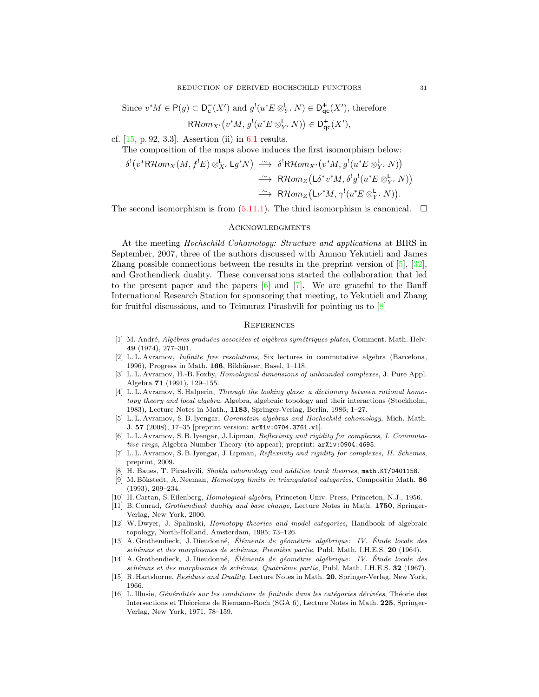Since  $v^*M \in \mathsf{P}(g) \subset \mathsf{D}^-_{\mathsf{c}}(X')$  and  $g^!(u^*E \otimes^{\mathsf{L}}_{\mathsf{Y}'} N) \in \mathsf{D}^+_{\mathsf{qc}}(X')$ , therefore

 $R\mathcal{H}om_{X'}(v^*M, g^!(u^*E\otimes^{\mathsf{L}}_{Y'}N))\in\mathsf{D}^+_{\mathsf{qc}}(X'),$ 

cf. [\[15,](#page-30-4) p. 92, 3.3]. Assertion (ii) in [6.1](#page-27-1) results.

**Links** 

The composition of the maps above induces the first isomorphism below:

$$
\delta^!(v^*\mathsf{R}\mathcal{H}om_X(M, f^!E) \otimes^{\mathsf{L}}_{X'} \mathsf{L}g^*N) \xrightarrow{\sim} \delta^!\mathsf{R}\mathcal{H}om_{X'}(v^*M, g^!(u^*E \otimes^{\mathsf{L}}_{Y'}, N))
$$
  

$$
\xrightarrow{\sim} \mathsf{R}\mathcal{H}om_Z\big(\mathsf{L}\delta^*v^*M, \delta^!g^!(u^*E \otimes^{\mathsf{L}}_{Y'}, N)\big)
$$
  

$$
\xrightarrow{\sim} \mathsf{R}\mathcal{H}om_Z\big(\mathsf{L}\nu^*M, \gamma^!(u^*E \otimes^{\mathsf{L}}_{Y'}, N)\big).
$$

The second isomorphism is from  $(5.11.1)$ . The third isomorphism is canonical.  $\Box$ 

### **ACKNOWLEDGMENTS**

<span id="page-30-0"></span>At the meeting Hochschild Cohomology: Structure and applications at BIRS in September, 2007, three of the authors discussed with Amnon Yekutieli and James Zhang possible connections between the results in the preprint version of [\[5\]](#page-30-3), [\[32\]](#page-31-7), and Grothendieck duality. These conversations started the collaboration that led to the present paper and the papers  $[6]$  and  $[7]$ . We are grateful to the Banff International Research Station for sponsoring that meeting, to Yekutieli and Zhang for fruitful discussions, and to Teimuraz Pirashvili for pointing us to [\[8\]](#page-30-9)

## **REFERENCES**

- <span id="page-30-1"></span>[1] M. André, Algèbres graduées associées et algèbres symétriques plates, Comment. Math. Helv. 49 (1974), 277–301.
- <span id="page-30-11"></span>[2] L. L. Avramov, Infinite free resolutions, Six lectures in commutative algebra (Barcelona, 1996), Progress in Math.  $166$ , Bikhäuser, Basel, 1–118.
- <span id="page-30-7"></span>[3] L. L. Avramov, H.-B. Foxby, *Homological dimensions of unbounded complexes*, J. Pure Appl. Algebra 71 (1991), 129–155.
- <span id="page-30-8"></span>[4] L. L. Avramov, S. Halperin, Through the looking glass: a dictionary between rational homotopy theory and local algebra, Algebra, algebraic topology and their interactions (Stockholm, 1983), Lecture Notes in Math., 1183, Springer-Verlag, Berlin, 1986; 1–27.
- <span id="page-30-3"></span>[5] L. L. Avramov, S. B. Iyengar, Gorenstein algebras and Hochschild cohomology, Mich. Math. J. 57 (2008), 17–35 [preprint version: arXiv:0704.3761.v1].
- <span id="page-30-13"></span>[6] L. L. Avramov, S. B. Iyengar, J. Lipman, Reflexivity and rigidity for complexes, I. Commutative rings, Algebra Number Theory (to appear); preprint: arXiv:0904.4695.
- <span id="page-30-16"></span>[7] L. L. Avramov, S. B. Iyengar, J. Lipman, Reflexivity and rigidity for complexes, II. Schemes, preprint, 2009.
- <span id="page-30-9"></span>[8] H. Baues, T. Pirashvili, Shukla cohomology and additive track theories, math.KT/0401158.
- <span id="page-30-15"></span>[9] M. Bökstedt, A. Neeman, *Homotopy limits in triangulated categories*, Compositio Math. 86 (1993), 209–234.
- <span id="page-30-2"></span>[10] H. Cartan, S. Eilenberg, Homological algebra, Princeton Univ. Press, Princeton, N.J., 1956.
- <span id="page-30-5"></span>[11] B. Conrad, Grothendieck duality and base change, Lecture Notes in Math. 1750, Springer-Verlag, New York, 2000.
- <span id="page-30-10"></span>[12] W. Dwyer, J. Spalinski, Homotopy theories and model categories, Handbook of algebraic topology, North-Holland, Amsterdam, 1995; 73–126.
- <span id="page-30-12"></span>[13] A. Grothendieck, J. Dieudonné, Éléments de géométrie algébrique: IV. Étude locale des schémas et des morphismes de schémas, Première partie, Publ. Math. I.H.E.S. 20 (1964).
- <span id="page-30-6"></span>[14] A. Grothendieck, J. Dieudonné, Eléments de géométrie algébrique: IV. Étude locale des  $sch{émas et des morphismes de sch{émas}, Quartrième partie, Publ. Math. I.H.E.S. 32 (1967).}$
- <span id="page-30-4"></span>[15] R. Hartshorne, Residues and Duality, Lecture Notes in Math. 20, Springer-Verlag, New York, 1966.
- <span id="page-30-14"></span>[16] L. Illusie, Généralités sur les conditions de finitude dans les catégories dérivées, Théorie des Intersections et Théorème de Riemann-Roch (SGA 6), Lecture Notes in Math. 225, Springer-Verlag, New York, 1971, 78–159.